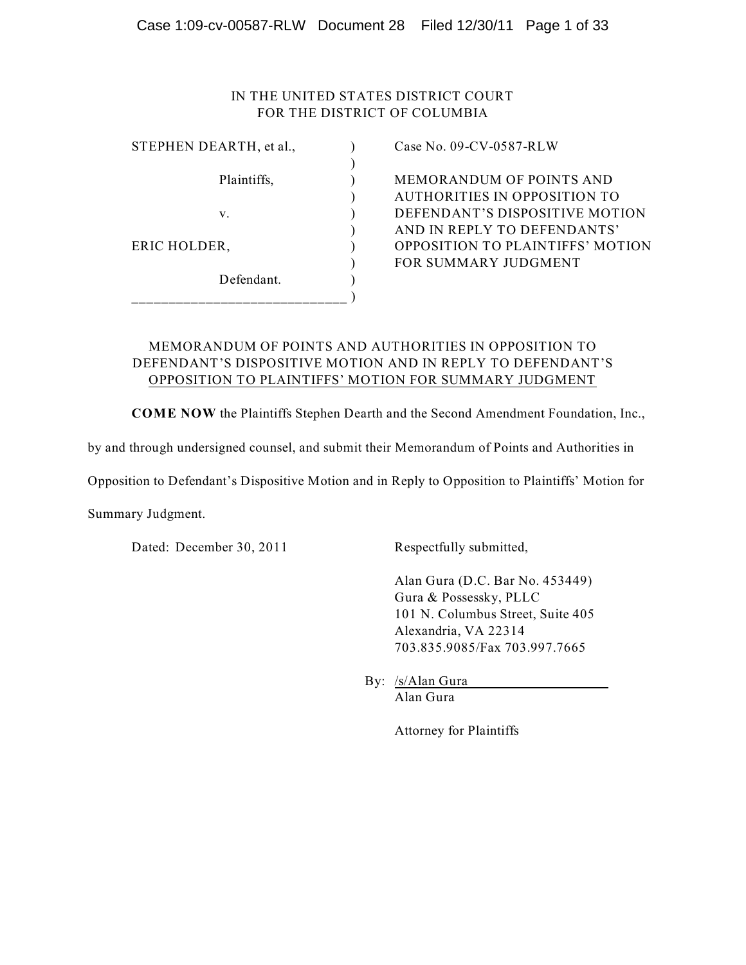# IN THE UNITED STATES DISTRICT COURT FOR THE DISTRICT OF COLUMBIA

| STEPHEN DEARTH, et al., |  |
|-------------------------|--|
| Plaintiffs,             |  |
| V.                      |  |
|                         |  |
| ERIC HOLDER,            |  |
| Defendant.              |  |
|                         |  |

Case No. 09-CV-0587-RLW

MEMORANDUM OF POINTS AND ) AUTHORITIES IN OPPOSITION TO DEFENDANT'S DISPOSITIVE MOTION ) AND IN REPLY TO DEFENDANTS' OPPOSITION TO PLAINTIFFS' MOTION ) FOR SUMMARY JUDGMENT

### MEMORANDUM OF POINTS AND AUTHORITIES IN OPPOSITION TO DEFENDANT'S DISPOSITIVE MOTION AND IN REPLY TO DEFENDANT'S OPPOSITION TO PLAINTIFFS' MOTION FOR SUMMARY JUDGMENT

**COME NOW** the Plaintiffs Stephen Dearth and the Second Amendment Foundation, Inc.,

by and through undersigned counsel, and submit their Memorandum of Points and Authorities in

Opposition to Defendant's Dispositive Motion and in Reply to Opposition to Plaintiffs' Motion for

Summary Judgment.

Dated: December 30, 2011 Respectfully submitted,

Alan Gura (D.C. Bar No. 453449) Gura & Possessky, PLLC 101 N. Columbus Street, Suite 405 Alexandria, VA 22314 703.835.9085/Fax 703.997.7665

By: /s/Alan Gura Alan Gura

Attorney for Plaintiffs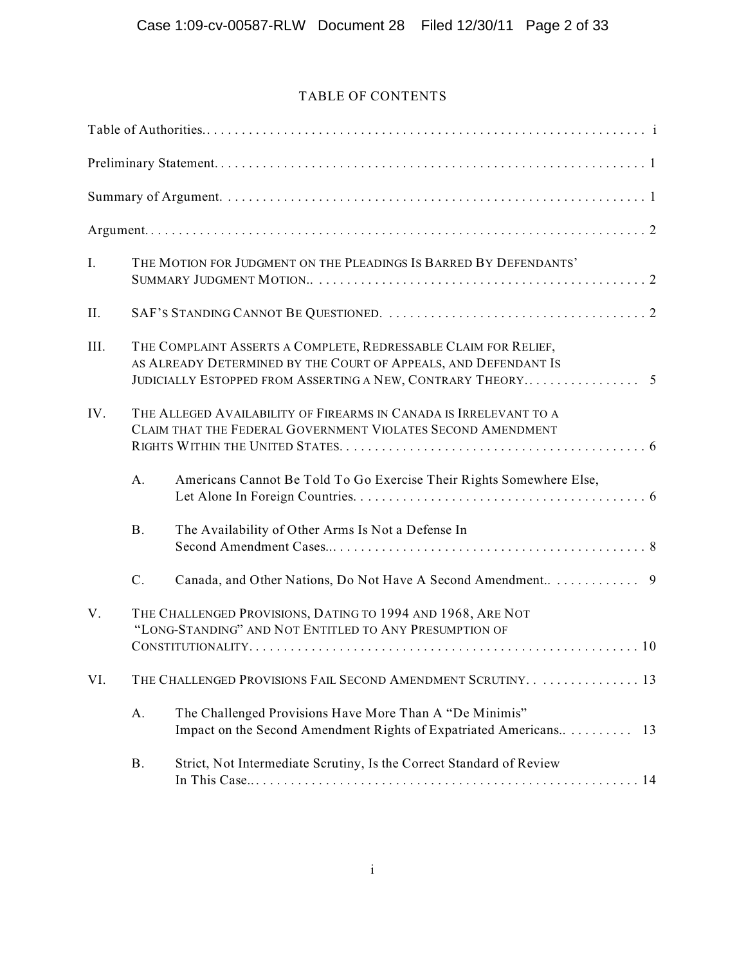# TABLE OF CONTENTS

| I.   |           | THE MOTION FOR JUDGMENT ON THE PLEADINGS IS BARRED BY DEFENDANTS'                                                                  |
|------|-----------|------------------------------------------------------------------------------------------------------------------------------------|
| II.  |           |                                                                                                                                    |
| III. |           | THE COMPLAINT ASSERTS A COMPLETE, REDRESSABLE CLAIM FOR RELIEF,<br>AS ALREADY DETERMINED BY THE COURT OF APPEALS, AND DEFENDANT IS |
| IV.  |           | THE ALLEGED AVAILABILITY OF FIREARMS IN CANADA IS IRRELEVANT TO A<br>CLAIM THAT THE FEDERAL GOVERNMENT VIOLATES SECOND AMENDMENT   |
|      | A.        | Americans Cannot Be Told To Go Exercise Their Rights Somewhere Else,                                                               |
|      | <b>B.</b> | The Availability of Other Arms Is Not a Defense In                                                                                 |
|      | $C$ .     |                                                                                                                                    |
| V.   |           | THE CHALLENGED PROVISIONS, DATING TO 1994 AND 1968, ARE NOT<br>"LONG-STANDING" AND NOT ENTITLED TO ANY PRESUMPTION OF              |
| VI.  |           | THE CHALLENGED PROVISIONS FAIL SECOND AMENDMENT SCRUTINY. 13                                                                       |
|      | A.        | The Challenged Provisions Have More Than A "De Minimis"<br>Impact on the Second Amendment Rights of Expatriated Americans<br>13    |
|      | <b>B.</b> | Strict, Not Intermediate Scrutiny, Is the Correct Standard of Review                                                               |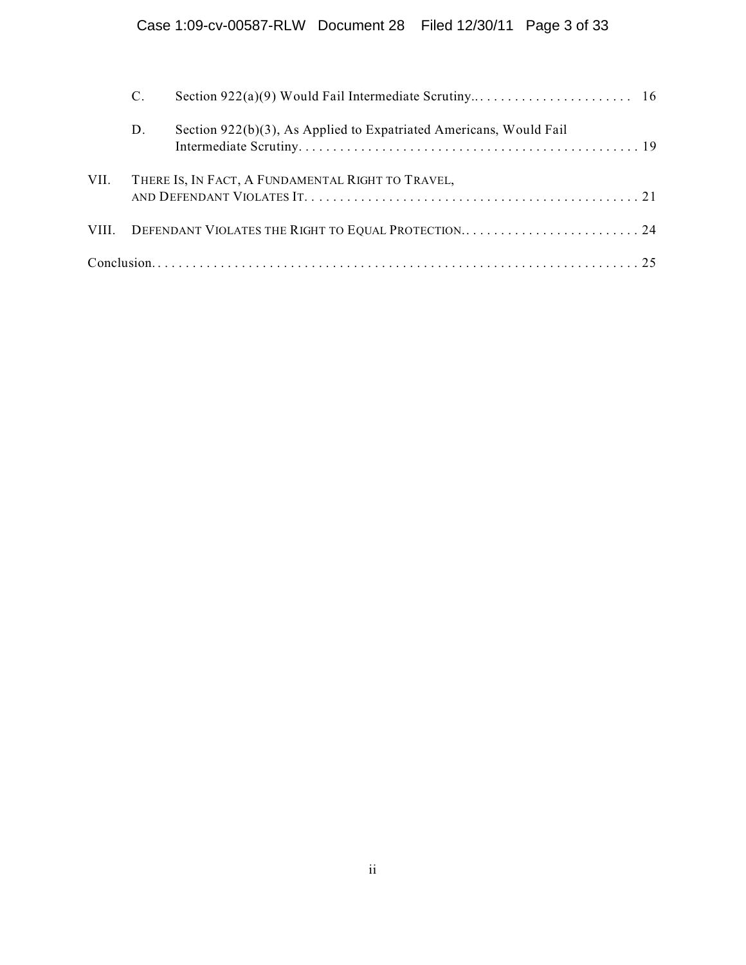|      | C. |                                                                    |  |
|------|----|--------------------------------------------------------------------|--|
|      | D. | Section 922(b)(3), As Applied to Expatriated Americans, Would Fail |  |
| VII. |    | THERE IS, IN FACT, A FUNDAMENTAL RIGHT TO TRAVEL,                  |  |
|      |    | VIII. DEFENDANT VIOLATES THE RIGHT TO EQUAL PROTECTION24           |  |
|      |    |                                                                    |  |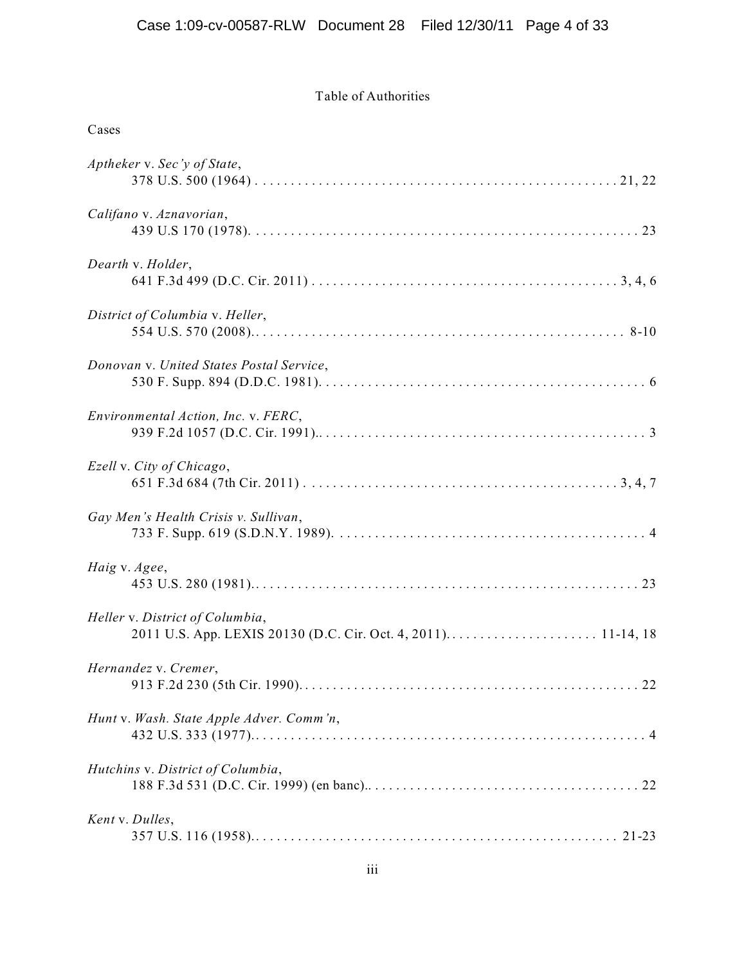# Table of Authorities

| Cases                                    |
|------------------------------------------|
| Aptheker v. Sec'y of State,              |
| Califano v. Aznavorian,                  |
| Dearth v. Holder,                        |
| District of Columbia v. Heller,          |
| Donovan v. United States Postal Service, |
| Environmental Action, Inc. v. FERC,      |
| Ezell v. City of Chicago,                |
| Gay Men's Health Crisis v. Sullivan,     |
| Haig v. Agee,                            |
| Heller v. District of Columbia,          |
| Hernandez v. Cremer,                     |
| Hunt v. Wash. State Apple Adver. Comm'n, |
| Hutchins v. District of Columbia,        |
| Kent v. Dulles,                          |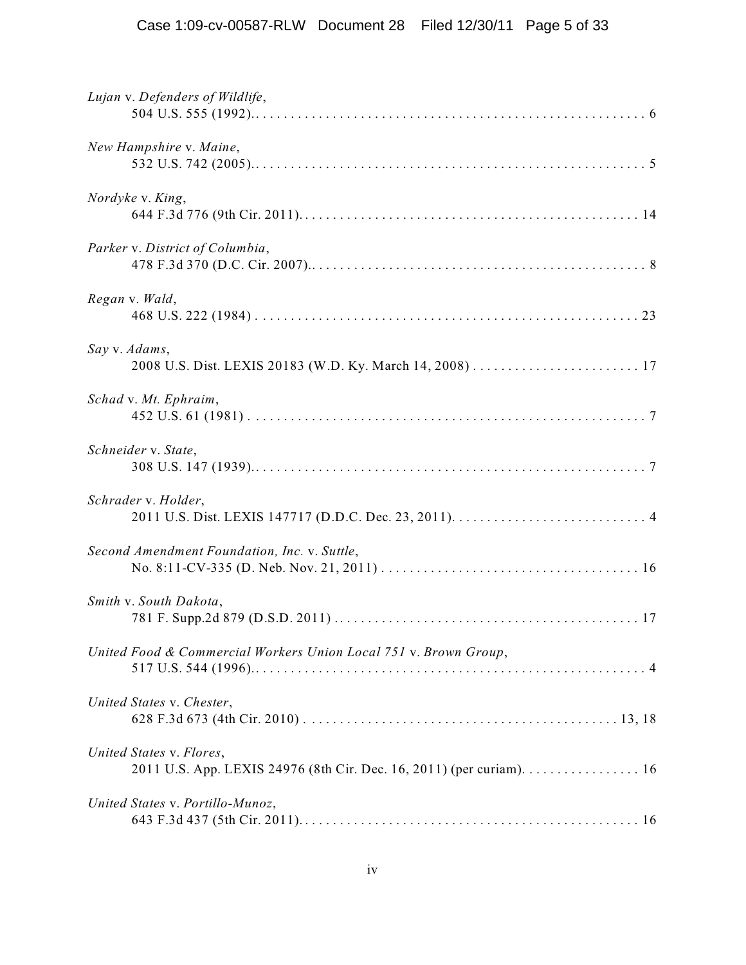| Lujan v. Defenders of Wildlife,                                                                  |
|--------------------------------------------------------------------------------------------------|
| New Hampshire v. Maine,                                                                          |
| Nordyke v. King,                                                                                 |
| Parker v. District of Columbia,                                                                  |
| Regan v. Wald,                                                                                   |
| Say v. Adams,                                                                                    |
| Schad v. Mt. Ephraim,                                                                            |
| Schneider v. State,                                                                              |
| Schrader v. Holder,                                                                              |
| Second Amendment Foundation, Inc. v. Suttle,                                                     |
| Smith v. South Dakota,                                                                           |
| United Food & Commercial Workers Union Local 751 v. Brown Group,                                 |
| United States v. Chester,                                                                        |
| United States v. Flores,<br>2011 U.S. App. LEXIS 24976 (8th Cir. Dec. 16, 2011) (per curiam). 16 |
| United States v. Portillo-Munoz,                                                                 |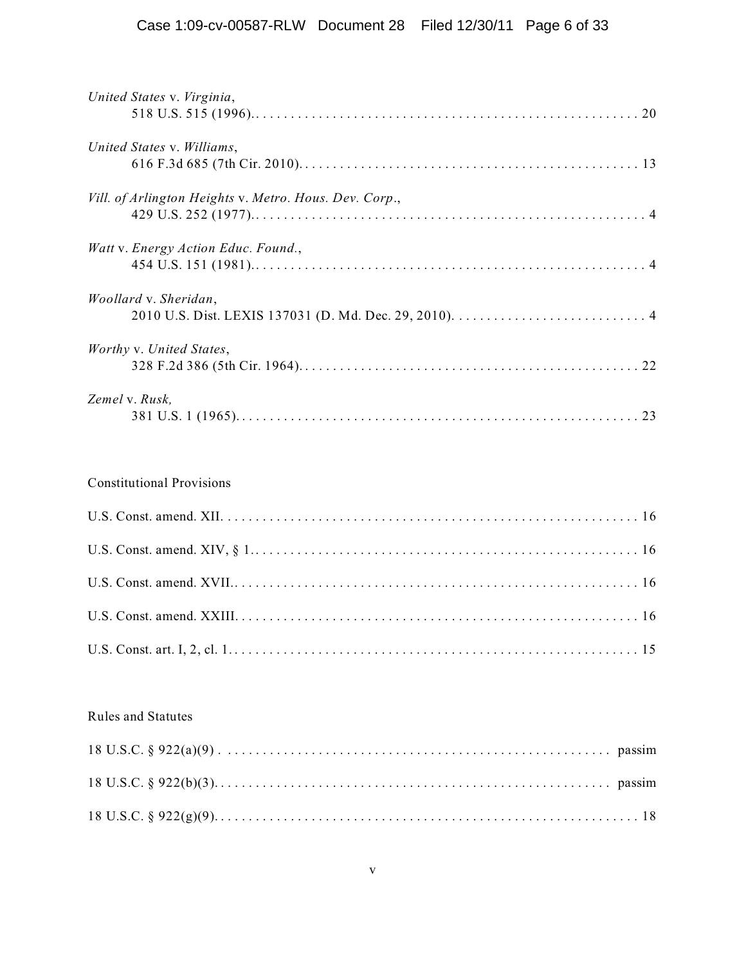| United States v. Virginia,                             |  |
|--------------------------------------------------------|--|
|                                                        |  |
| United States v. Williams,                             |  |
|                                                        |  |
| Vill. of Arlington Heights v. Metro. Hous. Dev. Corp., |  |
| Watt v. Energy Action Educ. Found.,                    |  |
|                                                        |  |
| <i>Woollard v. Sheridan,</i>                           |  |
|                                                        |  |
| Worthy v. United States,                               |  |
|                                                        |  |
| Zemel v. Rusk,                                         |  |
|                                                        |  |

# Constitutional Provisions

## Rules and Statutes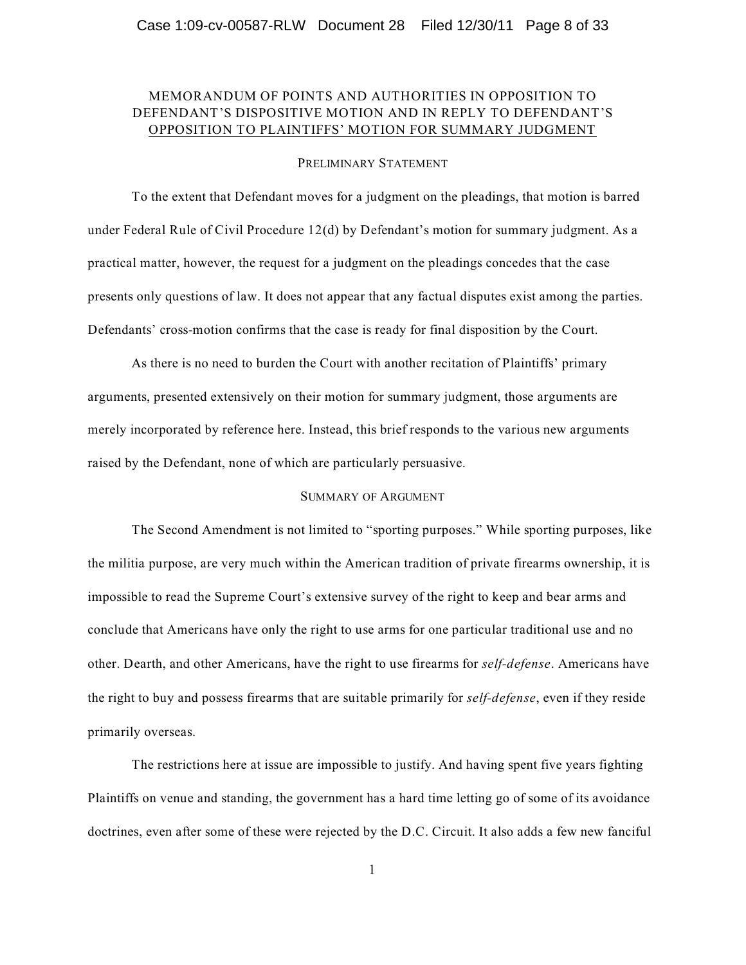### MEMORANDUM OF POINTS AND AUTHORITIES IN OPPOSITION TO DEFENDANT'S DISPOSITIVE MOTION AND IN REPLY TO DEFENDANT'S OPPOSITION TO PLAINTIFFS' MOTION FOR SUMMARY JUDGMENT

#### PRELIMINARY STATEMENT

To the extent that Defendant moves for a judgment on the pleadings, that motion is barred under Federal Rule of Civil Procedure 12(d) by Defendant's motion for summary judgment. As a practical matter, however, the request for a judgment on the pleadings concedes that the case presents only questions of law. It does not appear that any factual disputes exist among the parties. Defendants' cross-motion confirms that the case is ready for final disposition by the Court.

As there is no need to burden the Court with another recitation of Plaintiffs' primary arguments, presented extensively on their motion for summary judgment, those arguments are merely incorporated by reference here. Instead, this brief responds to the various new arguments raised by the Defendant, none of which are particularly persuasive.

#### SUMMARY OF ARGUMENT

The Second Amendment is not limited to "sporting purposes." While sporting purposes, like the militia purpose, are very much within the American tradition of private firearms ownership, it is impossible to read the Supreme Court's extensive survey of the right to keep and bear arms and conclude that Americans have only the right to use arms for one particular traditional use and no other. Dearth, and other Americans, have the right to use firearms for *self-defense*. Americans have the right to buy and possess firearms that are suitable primarily for *self-defense*, even if they reside primarily overseas.

The restrictions here at issue are impossible to justify. And having spent five years fighting Plaintiffs on venue and standing, the government has a hard time letting go of some of its avoidance doctrines, even after some of these were rejected by the D.C. Circuit. It also adds a few new fanciful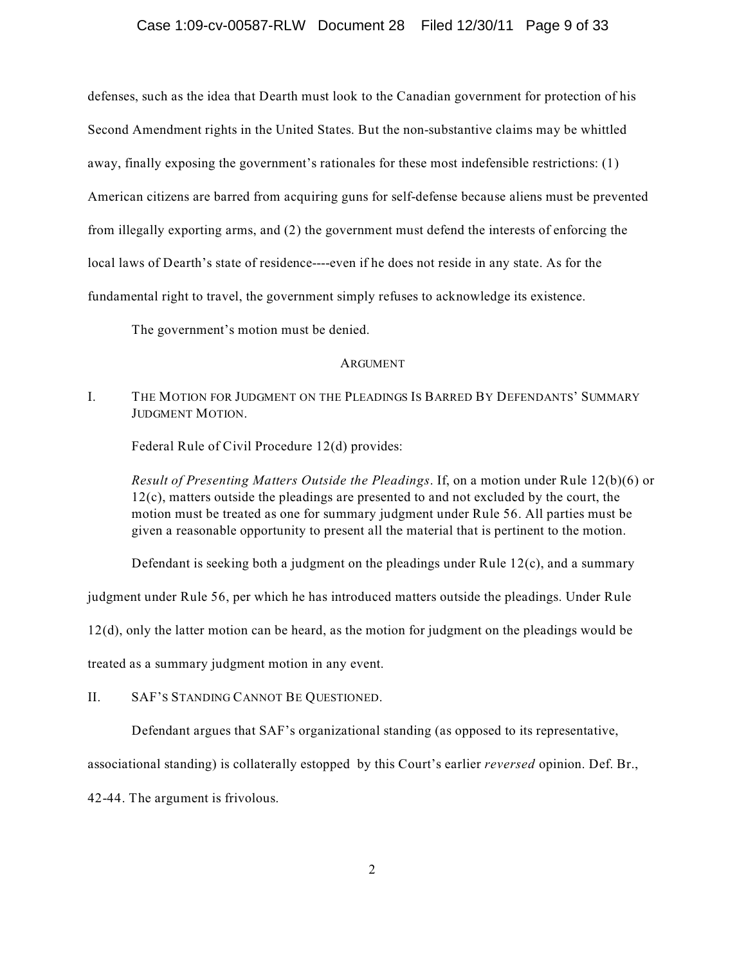#### Case 1:09-cv-00587-RLW Document 28 Filed 12/30/11 Page 9 of 33

defenses, such as the idea that Dearth must look to the Canadian government for protection of his Second Amendment rights in the United States. But the non-substantive claims may be whittled away, finally exposing the government's rationales for these most indefensible restrictions: (1) American citizens are barred from acquiring guns for self-defense because aliens must be prevented from illegally exporting arms, and (2) the government must defend the interests of enforcing the local laws of Dearth's state of residence----even if he does not reside in any state. As for the fundamental right to travel, the government simply refuses to acknowledge its existence.

The government's motion must be denied.

#### ARGUMENT

I. THE MOTION FOR JUDGMENT ON THE PLEADINGS IS BARRED BY DEFENDANTS' SUMMARY JUDGMENT MOTION.

Federal Rule of Civil Procedure 12(d) provides:

*Result of Presenting Matters Outside the Pleadings*. If, on a motion under Rule 12(b)(6) or 12(c), matters outside the pleadings are presented to and not excluded by the court, the motion must be treated as one for summary judgment under Rule 56. All parties must be given a reasonable opportunity to present all the material that is pertinent to the motion.

Defendant is seeking both a judgment on the pleadings under Rule  $12(c)$ , and a summary

judgment under Rule 56, per which he has introduced matters outside the pleadings. Under Rule

12(d), only the latter motion can be heard, as the motion for judgment on the pleadings would be

treated as a summary judgment motion in any event.

II. SAF'S STANDING CANNOT BE QUESTIONED.

Defendant argues that SAF's organizational standing (as opposed to its representative,

associational standing) is collaterally estopped by this Court's earlier *reversed* opinion. Def. Br.,

42-44. The argument is frivolous.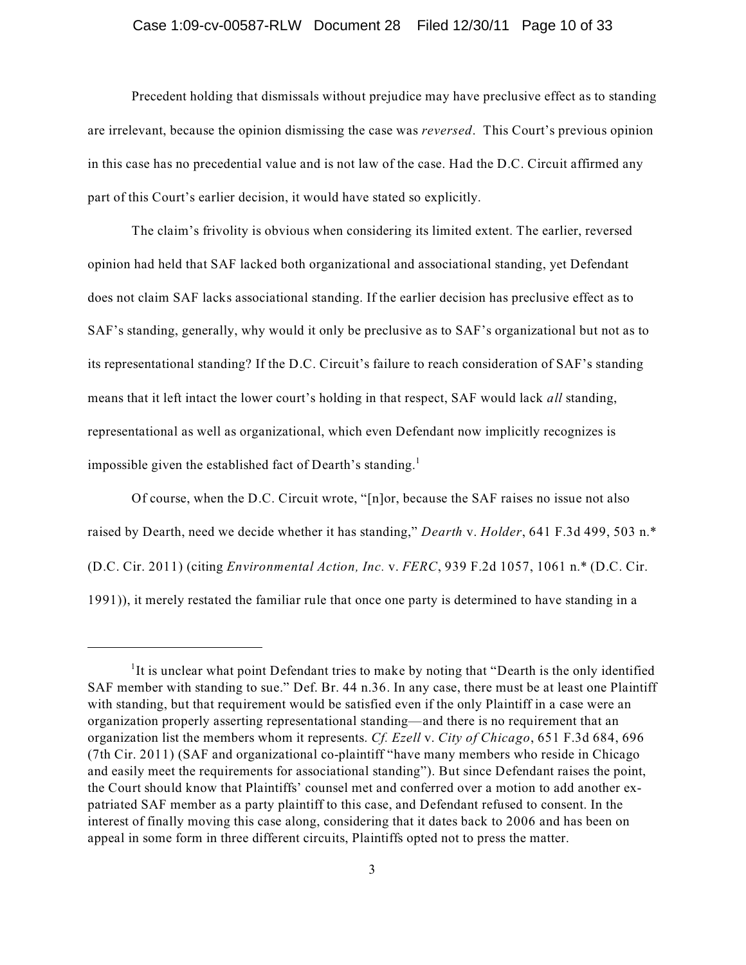#### Case 1:09-cv-00587-RLW Document 28 Filed 12/30/11 Page 10 of 33

Precedent holding that dismissals without prejudice may have preclusive effect as to standing are irrelevant, because the opinion dismissing the case was *reversed*. This Court's previous opinion in this case has no precedential value and is not law of the case. Had the D.C. Circuit affirmed any part of this Court's earlier decision, it would have stated so explicitly.

The claim's frivolity is obvious when considering its limited extent. The earlier, reversed opinion had held that SAF lacked both organizational and associational standing, yet Defendant does not claim SAF lacks associational standing. If the earlier decision has preclusive effect as to SAF's standing, generally, why would it only be preclusive as to SAF's organizational but not as to its representational standing? If the D.C. Circuit's failure to reach consideration of SAF's standing means that it left intact the lower court's holding in that respect, SAF would lack *all* standing, representational as well as organizational, which even Defendant now implicitly recognizes is impossible given the established fact of Dearth's standing.<sup>1</sup>

Of course, when the D.C. Circuit wrote, "[n]or, because the SAF raises no issue not also raised by Dearth, need we decide whether it has standing," *Dearth* v. *Holder*, 641 F.3d 499, 503 n.\* (D.C. Cir. 2011) (citing *Environmental Action, Inc.* v. *FERC*, 939 F.2d 1057, 1061 n.\* (D.C. Cir. 1991)), it merely restated the familiar rule that once one party is determined to have standing in a

 ${}^{1}$ It is unclear what point Defendant tries to make by noting that "Dearth is the only identified SAF member with standing to sue." Def. Br. 44 n.36. In any case, there must be at least one Plaintiff with standing, but that requirement would be satisfied even if the only Plaintiff in a case were an organization properly asserting representational standing—and there is no requirement that an organization list the members whom it represents. *Cf. Ezell* v. *City of Chicago*, 651 F.3d 684, 696 (7th Cir. 2011) (SAF and organizational co-plaintiff "have many members who reside in Chicago and easily meet the requirements for associational standing"). But since Defendant raises the point, the Court should know that Plaintiffs' counsel met and conferred over a motion to add another expatriated SAF member as a party plaintiff to this case, and Defendant refused to consent. In the interest of finally moving this case along, considering that it dates back to 2006 and has been on appeal in some form in three different circuits, Plaintiffs opted not to press the matter.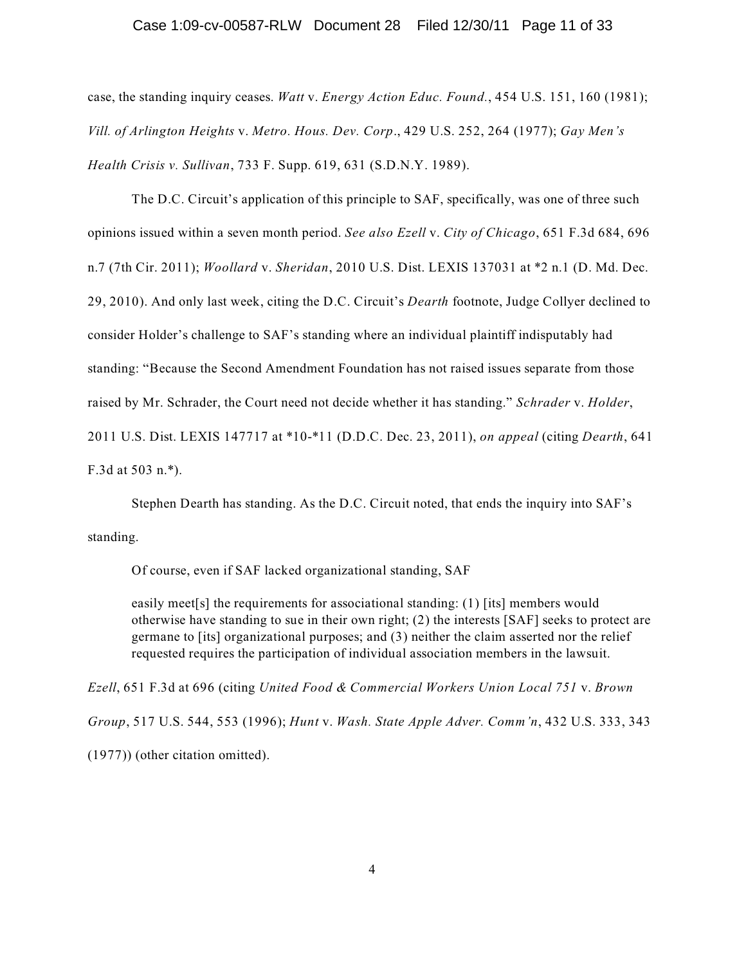#### Case 1:09-cv-00587-RLW Document 28 Filed 12/30/11 Page 11 of 33

case, the standing inquiry ceases. *Watt* v. *Energy Action Educ. Found.*, 454 U.S. 151, 160 (1981); *Vill. of Arlington Heights* v. *Metro. Hous. Dev. Corp*., 429 U.S. 252, 264 (1977); *Gay Men's Health Crisis v. Sullivan*, 733 F. Supp. 619, 631 (S.D.N.Y. 1989).

The D.C. Circuit's application of this principle to SAF, specifically, was one of three such opinions issued within a seven month period. *See also Ezell* v. *City of Chicago*, 651 F.3d 684, 696 n.7 (7th Cir. 2011); *Woollard* v. *Sheridan*, 2010 U.S. Dist. LEXIS 137031 at \*2 n.1 (D. Md. Dec. 29, 2010). And only last week, citing the D.C. Circuit's *Dearth* footnote, Judge Collyer declined to consider Holder's challenge to SAF's standing where an individual plaintiff indisputably had standing: "Because the Second Amendment Foundation has not raised issues separate from those raised by Mr. Schrader, the Court need not decide whether it has standing." *Schrader* v. *Holder*, 2011 U.S. Dist. LEXIS 147717 at \*10-\*11 (D.D.C. Dec. 23, 2011), *on appeal* (citing *Dearth*, 641 F.3d at 503 n.\*).

Stephen Dearth has standing. As the D.C. Circuit noted, that ends the inquiry into SAF's standing.

Of course, even if SAF lacked organizational standing, SAF

easily meet[s] the requirements for associational standing: (1) [its] members would otherwise have standing to sue in their own right; (2) the interests [SAF] seeks to protect are germane to [its] organizational purposes; and (3) neither the claim asserted nor the relief requested requires the participation of individual association members in the lawsuit.

*Ezell*, 651 F.3d at 696 (citing *United Food & Commercial Workers Union Local 751* v. *Brown Group*, 517 U.S. 544, 553 (1996); *Hunt* v. *Wash. State Apple Adver. Comm'n*, 432 U.S. 333, 343 (1977)) (other citation omitted).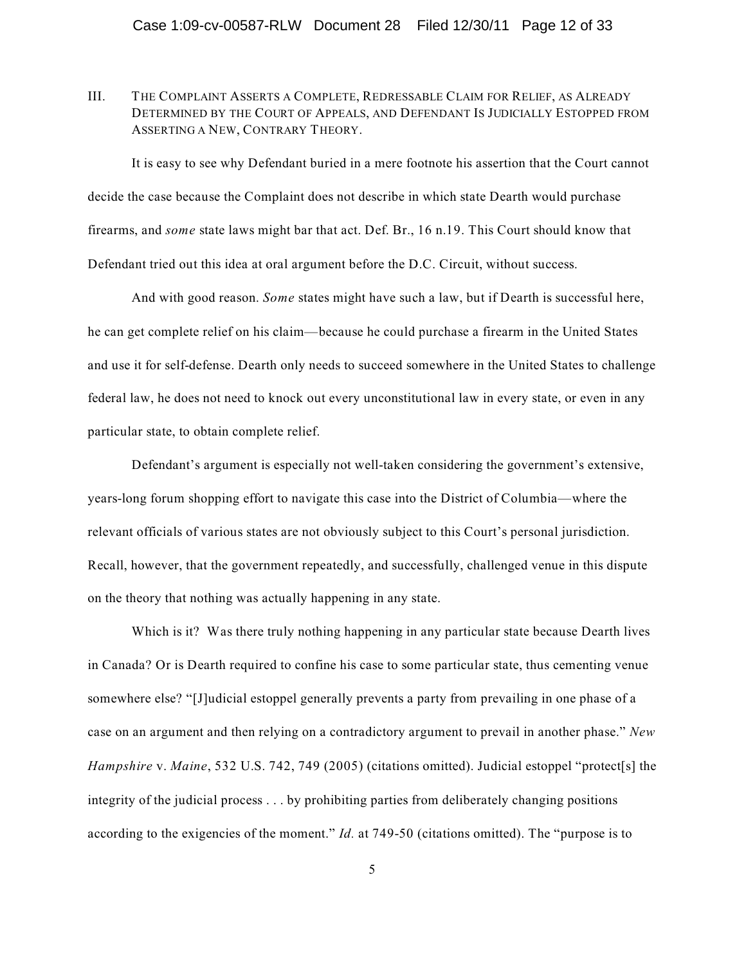III. THE COMPLAINT ASSERTS A COMPLETE, REDRESSABLE CLAIM FOR RELIEF, AS ALREADY DETERMINED BY THE COURT OF APPEALS, AND DEFENDANT IS JUDICIALLY ESTOPPED FROM ASSERTING A NEW, CONTRARY THEORY.

It is easy to see why Defendant buried in a mere footnote his assertion that the Court cannot decide the case because the Complaint does not describe in which state Dearth would purchase firearms, and *some* state laws might bar that act. Def. Br., 16 n.19. This Court should know that Defendant tried out this idea at oral argument before the D.C. Circuit, without success.

And with good reason. *Some* states might have such a law, but if Dearth is successful here, he can get complete relief on his claim—because he could purchase a firearm in the United States and use it for self-defense. Dearth only needs to succeed somewhere in the United States to challenge federal law, he does not need to knock out every unconstitutional law in every state, or even in any particular state, to obtain complete relief.

Defendant's argument is especially not well-taken considering the government's extensive, years-long forum shopping effort to navigate this case into the District of Columbia—where the relevant officials of various states are not obviously subject to this Court's personal jurisdiction. Recall, however, that the government repeatedly, and successfully, challenged venue in this dispute on the theory that nothing was actually happening in any state.

Which is it? Was there truly nothing happening in any particular state because Dearth lives in Canada? Or is Dearth required to confine his case to some particular state, thus cementing venue somewhere else? "[J]udicial estoppel generally prevents a party from prevailing in one phase of a case on an argument and then relying on a contradictory argument to prevail in another phase." *New Hampshire* v. *Maine*, 532 U.S. 742, 749 (2005) (citations omitted). Judicial estoppel "protect[s] the integrity of the judicial process . . . by prohibiting parties from deliberately changing positions according to the exigencies of the moment." *Id.* at 749-50 (citations omitted). The "purpose is to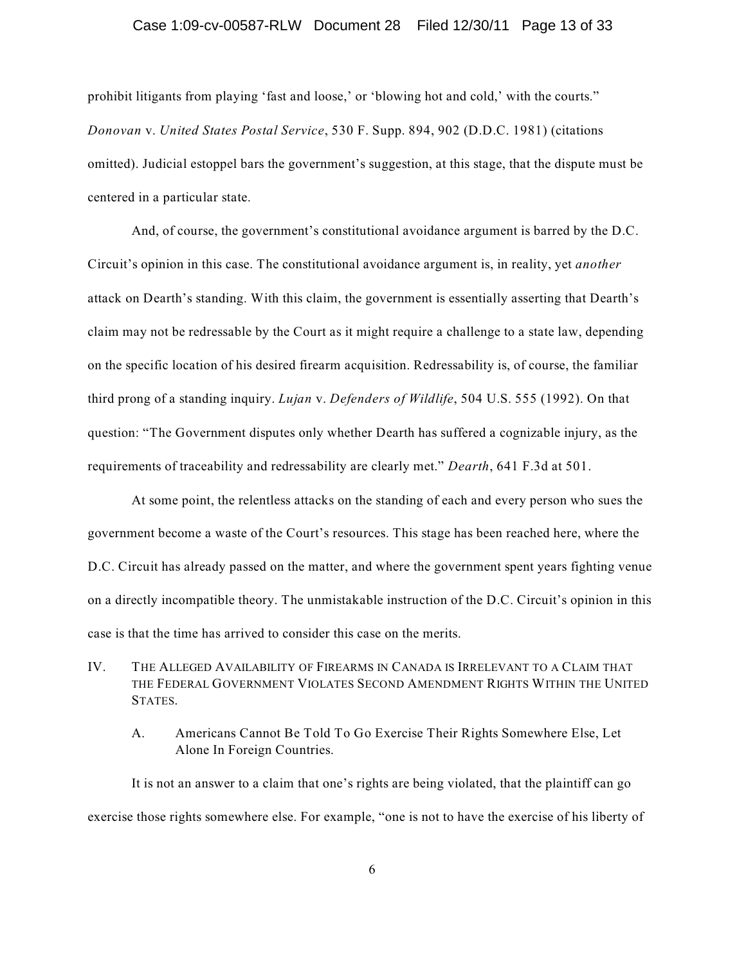#### Case 1:09-cv-00587-RLW Document 28 Filed 12/30/11 Page 13 of 33

prohibit litigants from playing 'fast and loose,' or 'blowing hot and cold,' with the courts." *Donovan* v. *United States Postal Service*, 530 F. Supp. 894, 902 (D.D.C. 1981) (citations omitted). Judicial estoppel bars the government's suggestion, at this stage, that the dispute must be centered in a particular state.

And, of course, the government's constitutional avoidance argument is barred by the D.C. Circuit's opinion in this case. The constitutional avoidance argument is, in reality, yet *another* attack on Dearth's standing. With this claim, the government is essentially asserting that Dearth's claim may not be redressable by the Court as it might require a challenge to a state law, depending on the specific location of his desired firearm acquisition. Redressability is, of course, the familiar third prong of a standing inquiry. *Lujan* v. *Defenders of Wildlife*, 504 U.S. 555 (1992). On that question: "The Government disputes only whether Dearth has suffered a cognizable injury, as the requirements of traceability and redressability are clearly met." *Dearth*, 641 F.3d at 501.

At some point, the relentless attacks on the standing of each and every person who sues the government become a waste of the Court's resources. This stage has been reached here, where the D.C. Circuit has already passed on the matter, and where the government spent years fighting venue on a directly incompatible theory. The unmistakable instruction of the D.C. Circuit's opinion in this case is that the time has arrived to consider this case on the merits.

- IV. THE ALLEGED AVAILABILITY OF FIREARMS IN CANADA IS IRRELEVANT TO A CLAIM THAT THE FEDERAL GOVERNMENT VIOLATES SECOND AMENDMENT RIGHTS WITHIN THE UNITED STATES.
	- A. Americans Cannot Be Told To Go Exercise Their Rights Somewhere Else, Let Alone In Foreign Countries.

It is not an answer to a claim that one's rights are being violated, that the plaintiff can go exercise those rights somewhere else. For example, "one is not to have the exercise of his liberty of

6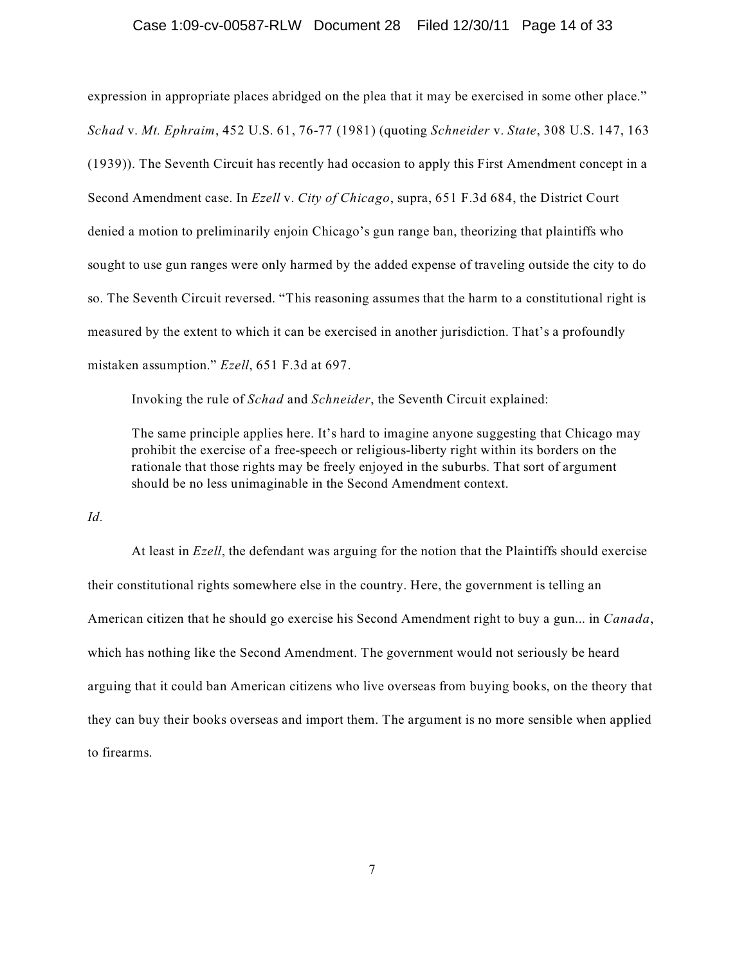#### Case 1:09-cv-00587-RLW Document 28 Filed 12/30/11 Page 14 of 33

expression in appropriate places abridged on the plea that it may be exercised in some other place." *Schad* v. *Mt. Ephraim*, 452 U.S. 61, 76-77 (1981) (quoting *Schneider* v. *State*, 308 U.S. 147, 163 (1939)). The Seventh Circuit has recently had occasion to apply this First Amendment concept in a Second Amendment case. In *Ezell* v. *City of Chicago*, supra, 651 F.3d 684, the District Court denied a motion to preliminarily enjoin Chicago's gun range ban, theorizing that plaintiffs who sought to use gun ranges were only harmed by the added expense of traveling outside the city to do so. The Seventh Circuit reversed. "This reasoning assumes that the harm to a constitutional right is measured by the extent to which it can be exercised in another jurisdiction. That's a profoundly mistaken assumption." *Ezell*, 651 F.3d at 697.

Invoking the rule of *Schad* and *Schneider*, the Seventh Circuit explained:

The same principle applies here. It's hard to imagine anyone suggesting that Chicago may prohibit the exercise of a free-speech or religious-liberty right within its borders on the rationale that those rights may be freely enjoyed in the suburbs. That sort of argument should be no less unimaginable in the Second Amendment context.

*Id.*

At least in *Ezell*, the defendant was arguing for the notion that the Plaintiffs should exercise their constitutional rights somewhere else in the country. Here, the government is telling an American citizen that he should go exercise his Second Amendment right to buy a gun... in *Canada*, which has nothing like the Second Amendment. The government would not seriously be heard arguing that it could ban American citizens who live overseas from buying books, on the theory that they can buy their books overseas and import them. The argument is no more sensible when applied to firearms.

7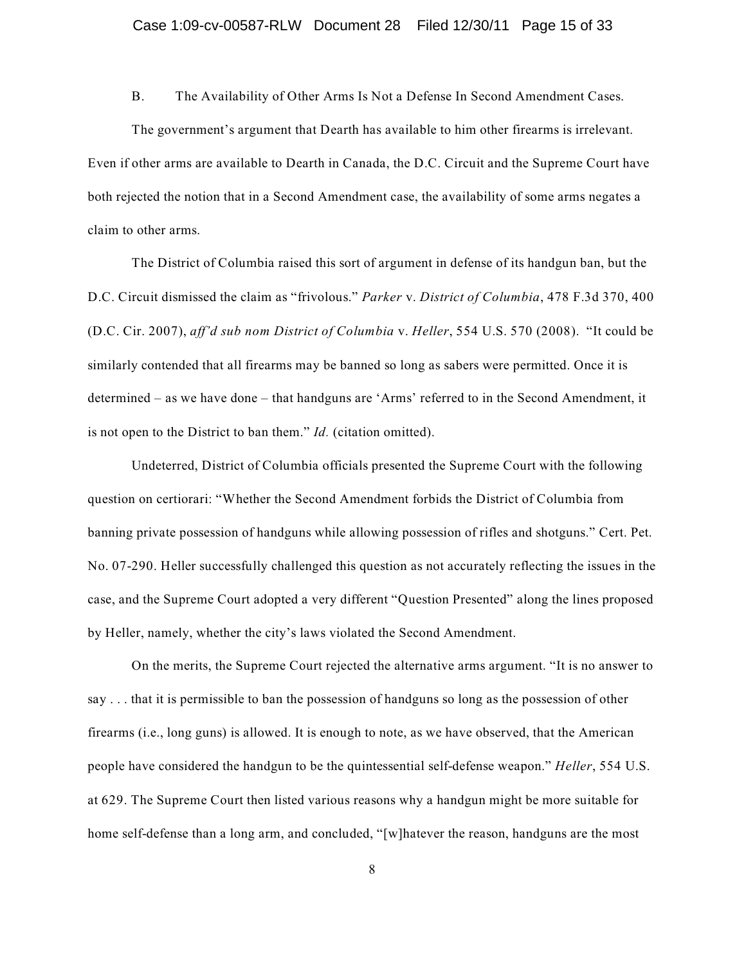B. The Availability of Other Arms Is Not a Defense In Second Amendment Cases.

The government's argument that Dearth has available to him other firearms is irrelevant. Even if other arms are available to Dearth in Canada, the D.C. Circuit and the Supreme Court have both rejected the notion that in a Second Amendment case, the availability of some arms negates a claim to other arms.

The District of Columbia raised this sort of argument in defense of its handgun ban, but the D.C. Circuit dismissed the claim as "frivolous." *Parker* v. *District of Columbia*, 478 F.3d 370, 400 (D.C. Cir. 2007), *aff'd sub nom District of Columbia* v. *Heller*, 554 U.S. 570 (2008). "It could be similarly contended that all firearms may be banned so long as sabers were permitted. Once it is determined – as we have done – that handguns are 'Arms' referred to in the Second Amendment, it is not open to the District to ban them." *Id.* (citation omitted).

Undeterred, District of Columbia officials presented the Supreme Court with the following question on certiorari: "Whether the Second Amendment forbids the District of Columbia from banning private possession of handguns while allowing possession of rifles and shotguns." Cert. Pet. No. 07-290. Heller successfully challenged this question as not accurately reflecting the issues in the case, and the Supreme Court adopted a very different "Question Presented" along the lines proposed by Heller, namely, whether the city's laws violated the Second Amendment.

On the merits, the Supreme Court rejected the alternative arms argument. "It is no answer to say . . . that it is permissible to ban the possession of handguns so long as the possession of other firearms (i.e., long guns) is allowed. It is enough to note, as we have observed, that the American people have considered the handgun to be the quintessential self-defense weapon." *Heller*, 554 U.S. at 629. The Supreme Court then listed various reasons why a handgun might be more suitable for home self-defense than a long arm, and concluded, "[w]hatever the reason, handguns are the most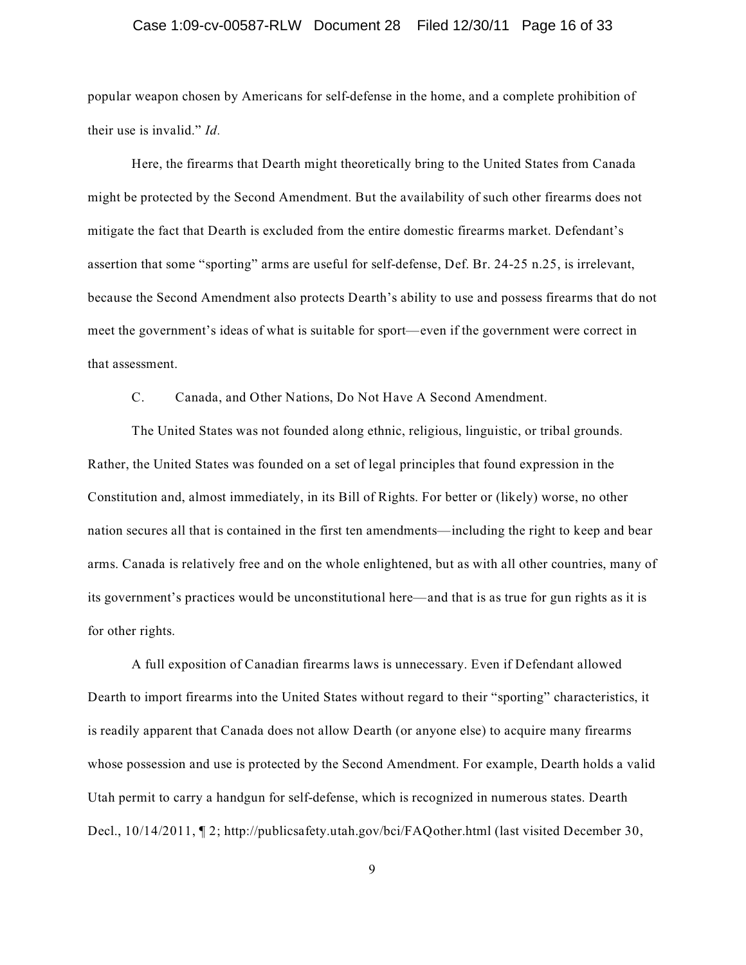#### Case 1:09-cv-00587-RLW Document 28 Filed 12/30/11 Page 16 of 33

popular weapon chosen by Americans for self-defense in the home, and a complete prohibition of their use is invalid." *Id.*

Here, the firearms that Dearth might theoretically bring to the United States from Canada might be protected by the Second Amendment. But the availability of such other firearms does not mitigate the fact that Dearth is excluded from the entire domestic firearms market. Defendant's assertion that some "sporting" arms are useful for self-defense, Def. Br. 24-25 n.25, is irrelevant, because the Second Amendment also protects Dearth's ability to use and possess firearms that do not meet the government's ideas of what is suitable for sport—even if the government were correct in that assessment.

C. Canada, and Other Nations, Do Not Have A Second Amendment.

The United States was not founded along ethnic, religious, linguistic, or tribal grounds. Rather, the United States was founded on a set of legal principles that found expression in the Constitution and, almost immediately, in its Bill of Rights. For better or (likely) worse, no other nation secures all that is contained in the first ten amendments—including the right to keep and bear arms. Canada is relatively free and on the whole enlightened, but as with all other countries, many of its government's practices would be unconstitutional here—and that is as true for gun rights as it is for other rights.

A full exposition of Canadian firearms laws is unnecessary. Even if Defendant allowed Dearth to import firearms into the United States without regard to their "sporting" characteristics, it is readily apparent that Canada does not allow Dearth (or anyone else) to acquire many firearms whose possession and use is protected by the Second Amendment. For example, Dearth holds a valid Utah permit to carry a handgun for self-defense, which is recognized in numerous states. Dearth Decl., 10/14/2011, ¶ 2; http://publicsafety.utah.gov/bci/FAQother.html (last visited December 30,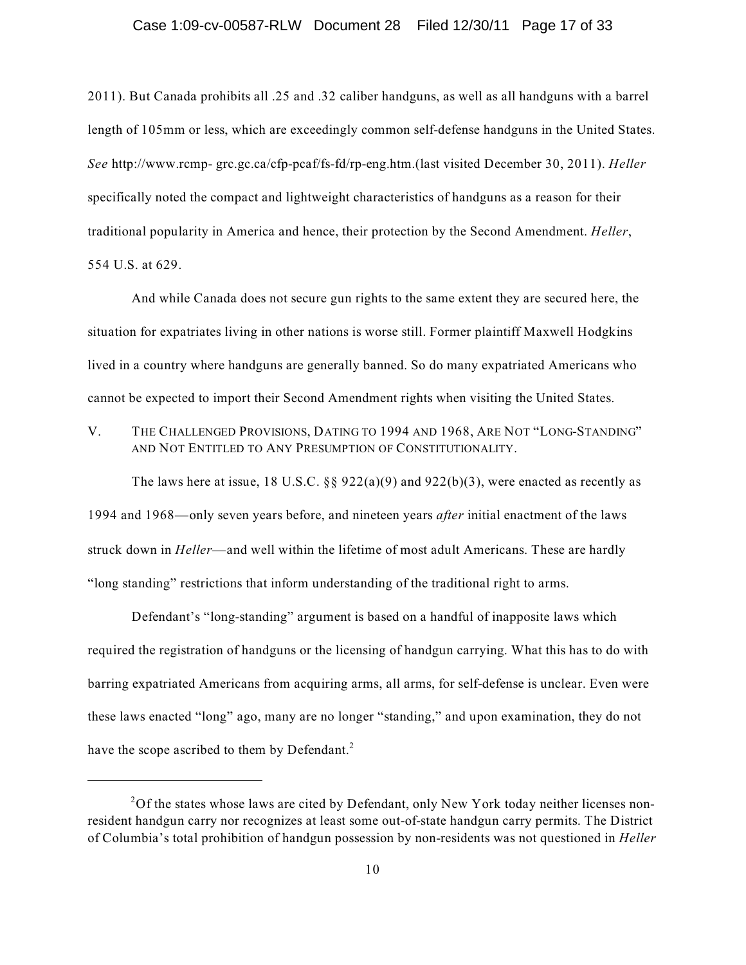#### Case 1:09-cv-00587-RLW Document 28 Filed 12/30/11 Page 17 of 33

2011). But Canada prohibits all .25 and .32 caliber handguns, as well as all handguns with a barrel length of 105mm or less, which are exceedingly common self-defense handguns in the United States. *See* http://www.rcmp- grc.gc.ca/cfp-pcaf/fs-fd/rp-eng.htm.(last visited December 30, 2011). *Heller* specifically noted the compact and lightweight characteristics of handguns as a reason for their traditional popularity in America and hence, their protection by the Second Amendment. *Heller*, 554 U.S. at 629.

And while Canada does not secure gun rights to the same extent they are secured here, the situation for expatriates living in other nations is worse still. Former plaintiff Maxwell Hodgkins lived in a country where handguns are generally banned. So do many expatriated Americans who cannot be expected to import their Second Amendment rights when visiting the United States.

V. THE CHALLENGED PROVISIONS, DATING TO 1994 AND 1968, ARE NOT "LONG-STANDING" AND NOT ENTITLED TO ANY PRESUMPTION OF CONSTITUTIONALITY.

The laws here at issue, 18 U.S.C.  $\S$ § 922(a)(9) and 922(b)(3), were enacted as recently as 1994 and 1968—only seven years before, and nineteen years *after* initial enactment of the laws struck down in *Heller*—and well within the lifetime of most adult Americans. These are hardly "long standing" restrictions that inform understanding of the traditional right to arms.

Defendant's "long-standing" argument is based on a handful of inapposite laws which required the registration of handguns or the licensing of handgun carrying. What this has to do with barring expatriated Americans from acquiring arms, all arms, for self-defense is unclear. Even were these laws enacted "long" ago, many are no longer "standing," and upon examination, they do not have the scope ascribed to them by Defendant.<sup>2</sup>

 $2Of$  the states whose laws are cited by Defendant, only New York today neither licenses nonresident handgun carry nor recognizes at least some out-of-state handgun carry permits. The District of Columbia's total prohibition of handgun possession by non-residents was not questioned in *Heller*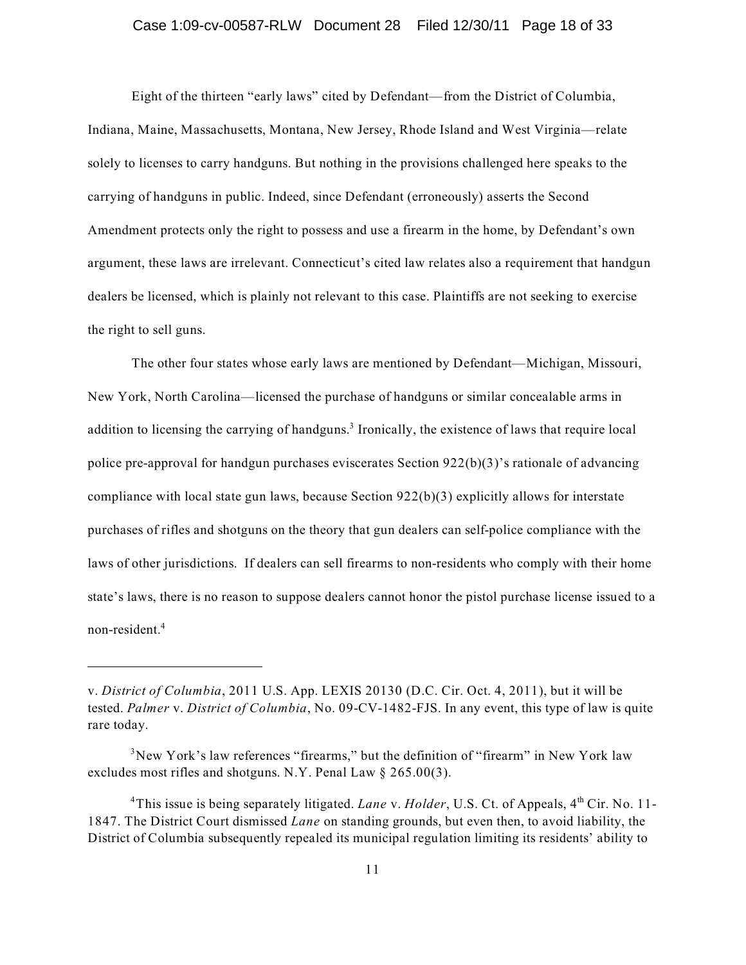#### Case 1:09-cv-00587-RLW Document 28 Filed 12/30/11 Page 18 of 33

Eight of the thirteen "early laws" cited by Defendant—from the District of Columbia, Indiana, Maine, Massachusetts, Montana, New Jersey, Rhode Island and West Virginia—relate solely to licenses to carry handguns. But nothing in the provisions challenged here speaks to the carrying of handguns in public. Indeed, since Defendant (erroneously) asserts the Second Amendment protects only the right to possess and use a firearm in the home, by Defendant's own argument, these laws are irrelevant. Connecticut's cited law relates also a requirement that handgun dealers be licensed, which is plainly not relevant to this case. Plaintiffs are not seeking to exercise the right to sell guns.

The other four states whose early laws are mentioned by Defendant—Michigan, Missouri, New York, North Carolina—licensed the purchase of handguns or similar concealable arms in addition to licensing the carrying of handguns.<sup>3</sup> Ironically, the existence of laws that require local police pre-approval for handgun purchases eviscerates Section 922(b)(3)'s rationale of advancing compliance with local state gun laws, because Section 922(b)(3) explicitly allows for interstate purchases of rifles and shotguns on the theory that gun dealers can self-police compliance with the laws of other jurisdictions. If dealers can sell firearms to non-residents who comply with their home state's laws, there is no reason to suppose dealers cannot honor the pistol purchase license issued to a non-resident. 4

v. *District of Columbia*, 2011 U.S. App. LEXIS 20130 (D.C. Cir. Oct. 4, 2011), but it will be tested. *Palmer* v. *District of Columbia*, No. 09-CV-1482-FJS. In any event, this type of law is quite rare today.

 $3$ New York's law references "firearms," but the definition of "firearm" in New York law excludes most rifles and shotguns. N.Y. Penal Law § 265.00(3).

<sup>&</sup>lt;sup>4</sup>This issue is being separately litigated. *Lane* v. *Holder*, U.S. Ct. of Appeals, 4<sup>th</sup> Cir. No. 11-1847. The District Court dismissed *Lane* on standing grounds, but even then, to avoid liability, the District of Columbia subsequently repealed its municipal regulation limiting its residents' ability to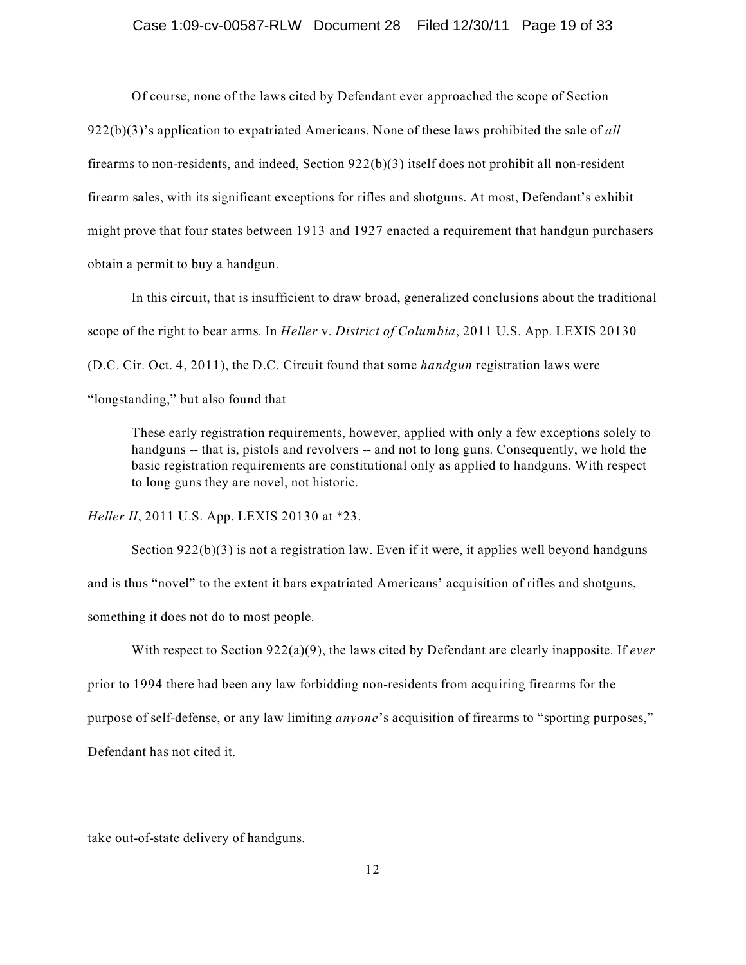#### Case 1:09-cv-00587-RLW Document 28 Filed 12/30/11 Page 19 of 33

Of course, none of the laws cited by Defendant ever approached the scope of Section 922(b)(3)'s application to expatriated Americans. None of these laws prohibited the sale of *all* firearms to non-residents, and indeed, Section  $922(b)(3)$  itself does not prohibit all non-resident firearm sales, with its significant exceptions for rifles and shotguns. At most, Defendant's exhibit might prove that four states between 1913 and 1927 enacted a requirement that handgun purchasers obtain a permit to buy a handgun.

In this circuit, that is insufficient to draw broad, generalized conclusions about the traditional scope of the right to bear arms. In *Heller* v. *District of Columbia*, 2011 U.S. App. LEXIS 20130 (D.C. Cir. Oct. 4, 2011), the D.C. Circuit found that some *handgun* registration laws were

"longstanding," but also found that

These early registration requirements, however, applied with only a few exceptions solely to handguns -- that is, pistols and revolvers -- and not to long guns. Consequently, we hold the basic registration requirements are constitutional only as applied to handguns. With respect to long guns they are novel, not historic.

*Heller II*, 2011 U.S. App. LEXIS 20130 at \*23.

Section 922(b)(3) is not a registration law. Even if it were, it applies well beyond handguns and is thus "novel" to the extent it bars expatriated Americans' acquisition of rifles and shotguns, something it does not do to most people.

With respect to Section 922(a)(9), the laws cited by Defendant are clearly inapposite. If *ever*

prior to 1994 there had been any law forbidding non-residents from acquiring firearms for the

purpose of self-defense, or any law limiting *anyone*'s acquisition of firearms to "sporting purposes,"

Defendant has not cited it.

take out-of-state delivery of handguns.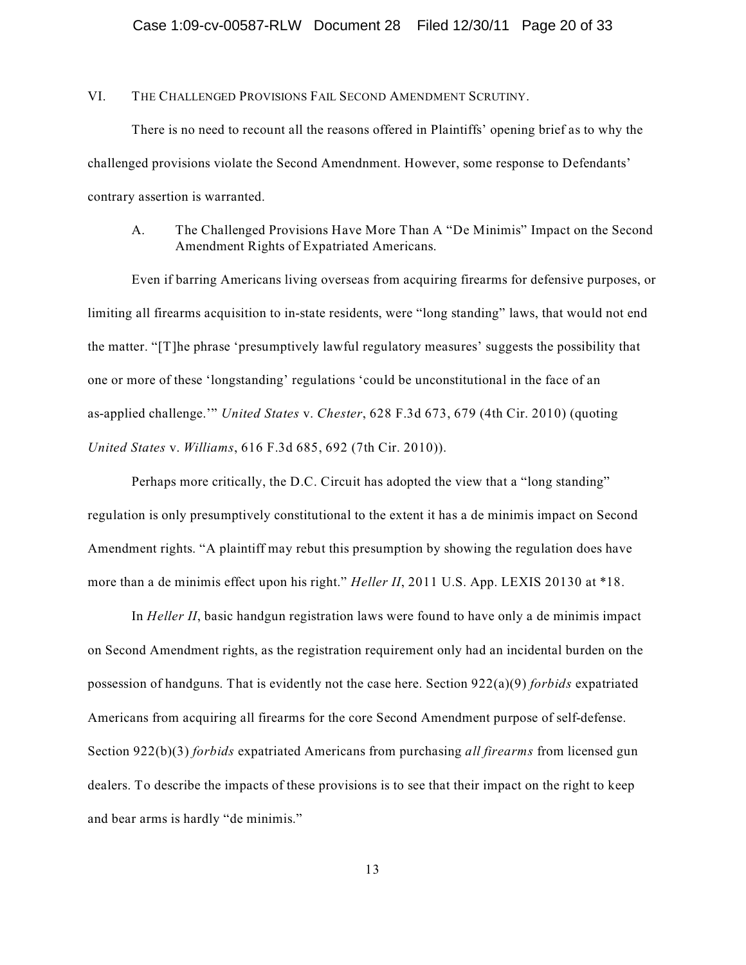VI. THE CHALLENGED PROVISIONS FAIL SECOND AMENDMENT SCRUTINY.

There is no need to recount all the reasons offered in Plaintiffs' opening brief as to why the challenged provisions violate the Second Amendnment. However, some response to Defendants' contrary assertion is warranted.

A. The Challenged Provisions Have More Than A "De Minimis" Impact on the Second Amendment Rights of Expatriated Americans.

Even if barring Americans living overseas from acquiring firearms for defensive purposes, or limiting all firearms acquisition to in-state residents, were "long standing" laws, that would not end the matter. "[T]he phrase 'presumptively lawful regulatory measures' suggests the possibility that one or more of these 'longstanding' regulations 'could be unconstitutional in the face of an as-applied challenge.'" *United States* v. *Chester*, 628 F.3d 673, 679 (4th Cir. 2010) (quoting *United States* v. *Williams*, 616 F.3d 685, 692 (7th Cir. 2010)).

Perhaps more critically, the D.C. Circuit has adopted the view that a "long standing" regulation is only presumptively constitutional to the extent it has a de minimis impact on Second Amendment rights. "A plaintiff may rebut this presumption by showing the regulation does have more than a de minimis effect upon his right." *Heller II*, 2011 U.S. App. LEXIS 20130 at \*18.

In *Heller II*, basic handgun registration laws were found to have only a de minimis impact on Second Amendment rights, as the registration requirement only had an incidental burden on the possession of handguns. That is evidently not the case here. Section 922(a)(9) *forbids* expatriated Americans from acquiring all firearms for the core Second Amendment purpose of self-defense. Section 922(b)(3) *forbids* expatriated Americans from purchasing *all firearms* from licensed gun dealers. To describe the impacts of these provisions is to see that their impact on the right to keep and bear arms is hardly "de minimis."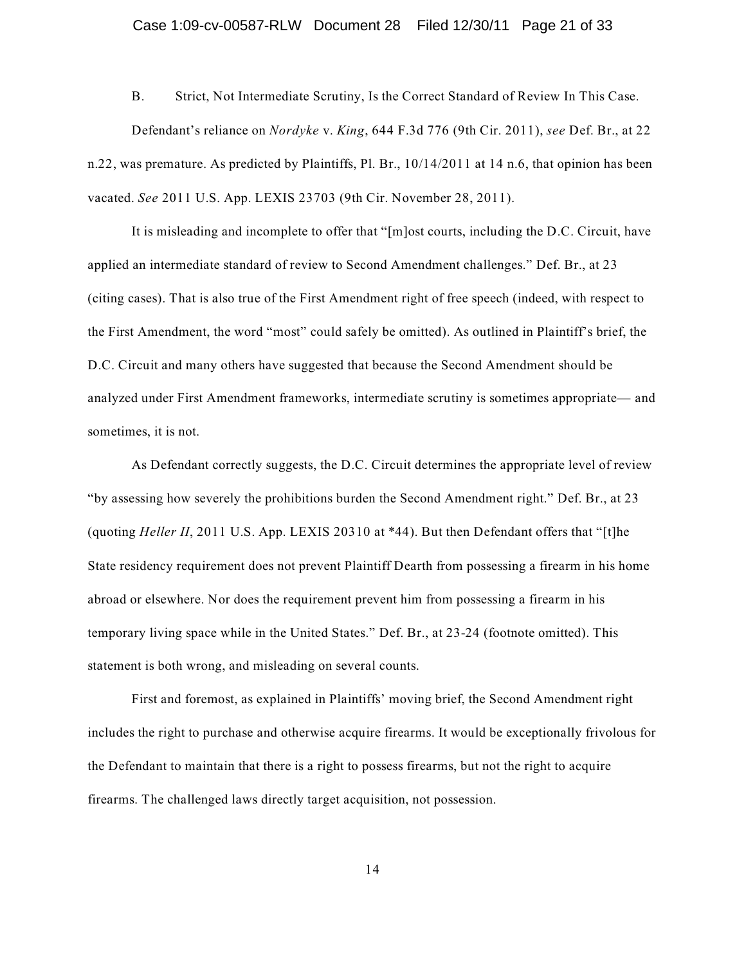B. Strict, Not Intermediate Scrutiny, Is the Correct Standard of Review In This Case. Defendant's reliance on *Nordyke* v. *King*, 644 F.3d 776 (9th Cir. 2011), *see* Def. Br., at 22 n.22, was premature. As predicted by Plaintiffs, Pl. Br., 10/14/2011 at 14 n.6, that opinion has been vacated. *See* 2011 U.S. App. LEXIS 23703 (9th Cir. November 28, 2011).

It is misleading and incomplete to offer that "[m]ost courts, including the D.C. Circuit, have applied an intermediate standard of review to Second Amendment challenges." Def. Br., at 23 (citing cases). That is also true of the First Amendment right of free speech (indeed, with respect to the First Amendment, the word "most" could safely be omitted). As outlined in Plaintiff's brief, the D.C. Circuit and many others have suggested that because the Second Amendment should be analyzed under First Amendment frameworks, intermediate scrutiny is sometimes appropriate— and sometimes, it is not.

As Defendant correctly suggests, the D.C. Circuit determines the appropriate level of review "by assessing how severely the prohibitions burden the Second Amendment right." Def. Br., at 23 (quoting *Heller II*, 2011 U.S. App. LEXIS 20310 at \*44). But then Defendant offers that "[t]he State residency requirement does not prevent Plaintiff Dearth from possessing a firearm in his home abroad or elsewhere. Nor does the requirement prevent him from possessing a firearm in his temporary living space while in the United States." Def. Br., at 23-24 (footnote omitted). This statement is both wrong, and misleading on several counts.

First and foremost, as explained in Plaintiffs' moving brief, the Second Amendment right includes the right to purchase and otherwise acquire firearms. It would be exceptionally frivolous for the Defendant to maintain that there is a right to possess firearms, but not the right to acquire firearms. The challenged laws directly target acquisition, not possession.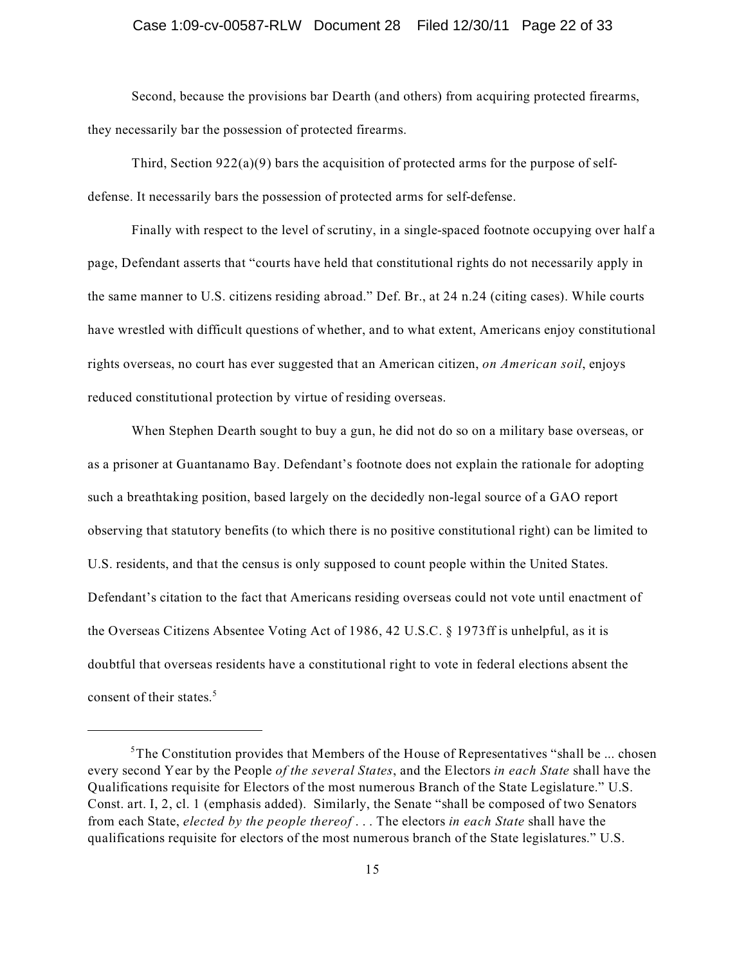#### Case 1:09-cv-00587-RLW Document 28 Filed 12/30/11 Page 22 of 33

Second, because the provisions bar Dearth (and others) from acquiring protected firearms, they necessarily bar the possession of protected firearms.

Third, Section  $922(a)(9)$  bars the acquisition of protected arms for the purpose of selfdefense. It necessarily bars the possession of protected arms for self-defense.

Finally with respect to the level of scrutiny, in a single-spaced footnote occupying over half a page, Defendant asserts that "courts have held that constitutional rights do not necessarily apply in the same manner to U.S. citizens residing abroad." Def. Br., at 24 n.24 (citing cases). While courts have wrestled with difficult questions of whether, and to what extent, Americans enjoy constitutional rights overseas, no court has ever suggested that an American citizen, *on American soil*, enjoys reduced constitutional protection by virtue of residing overseas.

When Stephen Dearth sought to buy a gun, he did not do so on a military base overseas, or as a prisoner at Guantanamo Bay. Defendant's footnote does not explain the rationale for adopting such a breathtaking position, based largely on the decidedly non-legal source of a GAO report observing that statutory benefits (to which there is no positive constitutional right) can be limited to U.S. residents, and that the census is only supposed to count people within the United States. Defendant's citation to the fact that Americans residing overseas could not vote until enactment of the Overseas Citizens Absentee Voting Act of 1986, 42 U.S.C. § 1973ff is unhelpful, as it is doubtful that overseas residents have a constitutional right to vote in federal elections absent the consent of their states.<sup>5</sup>

 $5$ The Constitution provides that Members of the House of Representatives "shall be ... chosen every second Year by the People *of the several States*, and the Electors *in each State* shall have the Qualifications requisite for Electors of the most numerous Branch of the State Legislature." U.S. Const. art. I, 2, cl. 1 (emphasis added). Similarly, the Senate "shall be composed of two Senators from each State, *elected by the people thereof* . . . The electors *in each State* shall have the qualifications requisite for electors of the most numerous branch of the State legislatures." U.S.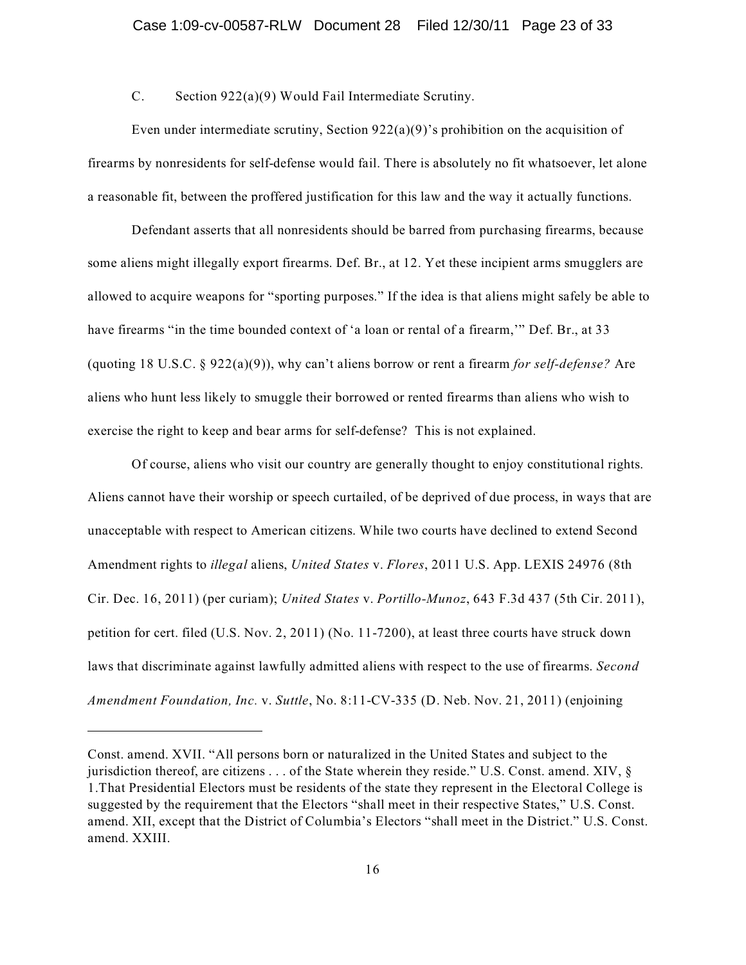#### C. Section 922(a)(9) Would Fail Intermediate Scrutiny.

Even under intermediate scrutiny, Section  $922(a)(9)$ 's prohibition on the acquisition of firearms by nonresidents for self-defense would fail. There is absolutely no fit whatsoever, let alone a reasonable fit, between the proffered justification for this law and the way it actually functions.

Defendant asserts that all nonresidents should be barred from purchasing firearms, because some aliens might illegally export firearms. Def. Br., at 12. Yet these incipient arms smugglers are allowed to acquire weapons for "sporting purposes." If the idea is that aliens might safely be able to have firearms "in the time bounded context of 'a loan or rental of a firearm," Def. Br., at 33 (quoting 18 U.S.C. § 922(a)(9)), why can't aliens borrow or rent a firearm *for self-defense?* Are aliens who hunt less likely to smuggle their borrowed or rented firearms than aliens who wish to exercise the right to keep and bear arms for self-defense? This is not explained.

Of course, aliens who visit our country are generally thought to enjoy constitutional rights. Aliens cannot have their worship or speech curtailed, of be deprived of due process, in ways that are unacceptable with respect to American citizens. While two courts have declined to extend Second Amendment rights to *illegal* aliens, *United States* v. *Flores*, 2011 U.S. App. LEXIS 24976 (8th Cir. Dec. 16, 2011) (per curiam); *United States* v. *Portillo-Munoz*, 643 F.3d 437 (5th Cir. 2011), petition for cert. filed (U.S. Nov. 2, 2011) (No. 11-7200), at least three courts have struck down laws that discriminate against lawfully admitted aliens with respect to the use of firearms. *Second Amendment Foundation, Inc.* v. *Suttle*, No. 8:11-CV-335 (D. Neb. Nov. 21, 2011) (enjoining

Const. amend. XVII. "All persons born or naturalized in the United States and subject to the jurisdiction thereof, are citizens . . . of the State wherein they reside." U.S. Const. amend. XIV, § 1.That Presidential Electors must be residents of the state they represent in the Electoral College is suggested by the requirement that the Electors "shall meet in their respective States," U.S. Const. amend. XII, except that the District of Columbia's Electors "shall meet in the District." U.S. Const. amend. XXIII.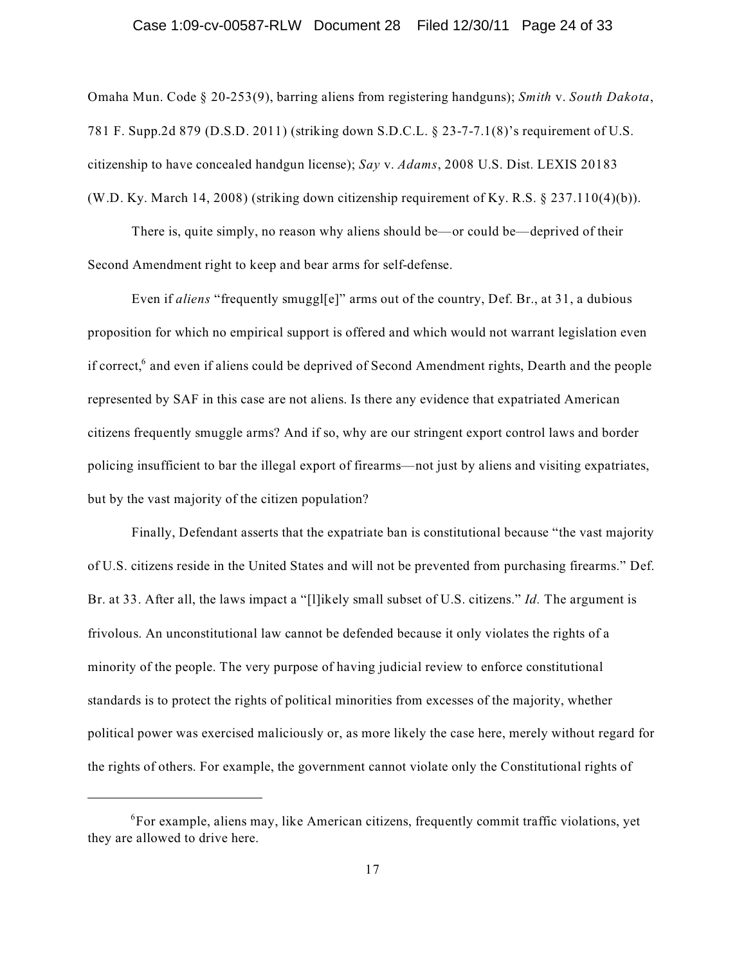#### Case 1:09-cv-00587-RLW Document 28 Filed 12/30/11 Page 24 of 33

Omaha Mun. Code § 20-253(9), barring aliens from registering handguns); *Smith* v. *South Dakota*, 781 F. Supp.2d 879 (D.S.D. 2011) (striking down S.D.C.L. § 23-7-7.1(8)'s requirement of U.S. citizenship to have concealed handgun license); *Say* v. *Adams*, 2008 U.S. Dist. LEXIS 20183 (W.D. Ky. March 14, 2008) (striking down citizenship requirement of Ky. R.S.  $\S$  237.110(4)(b)).

There is, quite simply, no reason why aliens should be—or could be—deprived of their Second Amendment right to keep and bear arms for self-defense.

Even if *aliens* "frequently smuggl[e]" arms out of the country, Def. Br., at 31, a dubious proposition for which no empirical support is offered and which would not warrant legislation even if correct,<sup>6</sup> and even if aliens could be deprived of Second Amendment rights, Dearth and the people represented by SAF in this case are not aliens. Is there any evidence that expatriated American citizens frequently smuggle arms? And if so, why are our stringent export control laws and border policing insufficient to bar the illegal export of firearms—not just by aliens and visiting expatriates, but by the vast majority of the citizen population?

Finally, Defendant asserts that the expatriate ban is constitutional because "the vast majority of U.S. citizens reside in the United States and will not be prevented from purchasing firearms." Def. Br. at 33. After all, the laws impact a "[l]ikely small subset of U.S. citizens." *Id.* The argument is frivolous. An unconstitutional law cannot be defended because it only violates the rights of a minority of the people. The very purpose of having judicial review to enforce constitutional standards is to protect the rights of political minorities from excesses of the majority, whether political power was exercised maliciously or, as more likely the case here, merely without regard for the rights of others. For example, the government cannot violate only the Constitutional rights of

 ${}^{6}$ For example, aliens may, like American citizens, frequently commit traffic violations, yet they are allowed to drive here.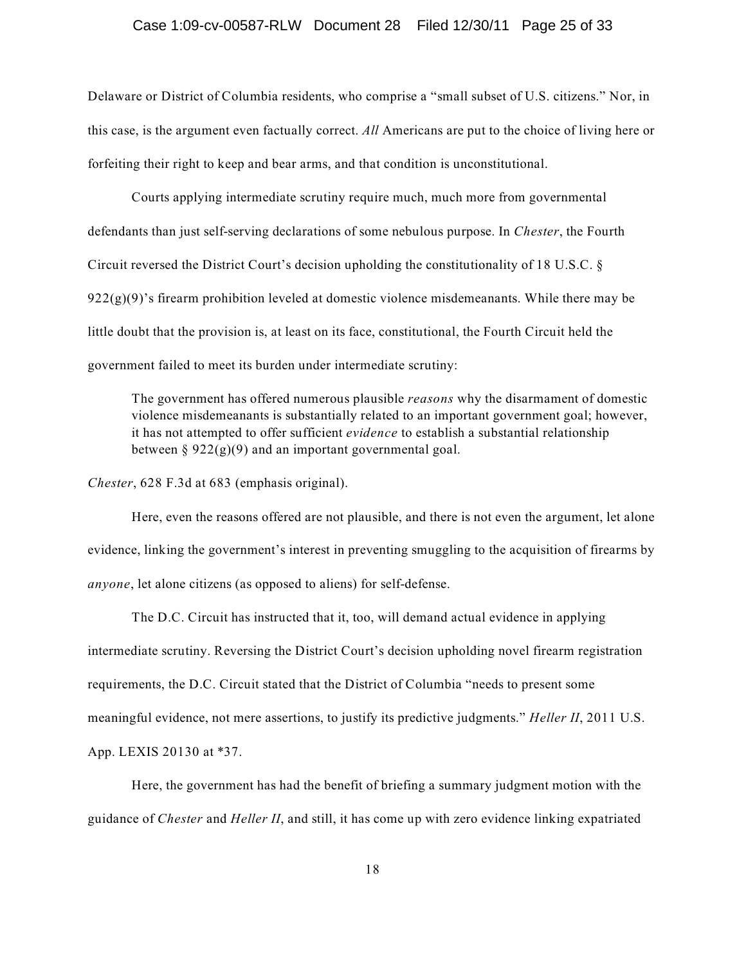#### Case 1:09-cv-00587-RLW Document 28 Filed 12/30/11 Page 25 of 33

Delaware or District of Columbia residents, who comprise a "small subset of U.S. citizens." Nor, in this case, is the argument even factually correct. *All* Americans are put to the choice of living here or forfeiting their right to keep and bear arms, and that condition is unconstitutional.

Courts applying intermediate scrutiny require much, much more from governmental defendants than just self-serving declarations of some nebulous purpose. In *Chester*, the Fourth Circuit reversed the District Court's decision upholding the constitutionality of 18 U.S.C. §  $922(g)(9)$ 's firearm prohibition leveled at domestic violence misdemeanants. While there may be little doubt that the provision is, at least on its face, constitutional, the Fourth Circuit held the government failed to meet its burden under intermediate scrutiny:

The government has offered numerous plausible *reasons* why the disarmament of domestic violence misdemeanants is substantially related to an important government goal; however, it has not attempted to offer sufficient *evidence* to establish a substantial relationship between  $\S 922(g)(9)$  and an important governmental goal.

*Chester*, 628 F.3d at 683 (emphasis original).

Here, even the reasons offered are not plausible, and there is not even the argument, let alone evidence, linking the government's interest in preventing smuggling to the acquisition of firearms by *anyone*, let alone citizens (as opposed to aliens) for self-defense.

The D.C. Circuit has instructed that it, too, will demand actual evidence in applying intermediate scrutiny. Reversing the District Court's decision upholding novel firearm registration requirements, the D.C. Circuit stated that the District of Columbia "needs to present some meaningful evidence, not mere assertions, to justify its predictive judgments." *Heller II*, 2011 U.S. App. LEXIS 20130 at \*37.

Here, the government has had the benefit of briefing a summary judgment motion with the guidance of *Chester* and *Heller II*, and still, it has come up with zero evidence linking expatriated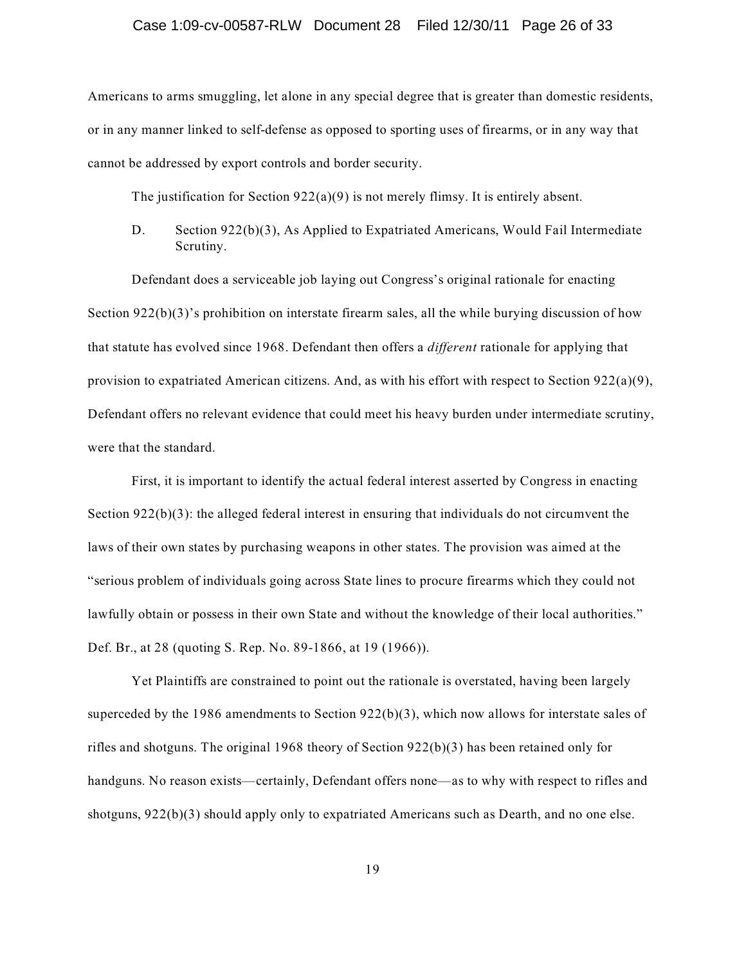#### Case 1:09-cv-00587-RLW Document 28 Filed 12/30/11 Page 26 of 33

Americans to arms smuggling, let alone in any special degree that is greater than domestic residents, or in any manner linked to self-defense as opposed to sporting uses of firearms, or in any way that cannot be addressed by export controls and border security.

The justification for Section  $922(a)(9)$  is not merely flimsy. It is entirely absent.

D. Section 922(b)(3), As Applied to Expatriated Americans, Would Fail Intermediate Scrutiny.

Defendant does a serviceable job laying out Congress's original rationale for enacting Section 922(b)(3)'s prohibition on interstate firearm sales, all the while burying discussion of how that statute has evolved since 1968. Defendant then offers a *different* rationale for applying that provision to expatriated American citizens. And, as with his effort with respect to Section  $922(a)(9)$ , Defendant offers no relevant evidence that could meet his heavy burden under intermediate scrutiny, were that the standard.

First, it is important to identify the actual federal interest asserted by Congress in enacting Section  $922(b)(3)$ : the alleged federal interest in ensuring that individuals do not circumvent the laws of their own states by purchasing weapons in other states. The provision was aimed at the "serious problem of individuals going across State lines to procure firearms which they could not lawfully obtain or possess in their own State and without the knowledge of their local authorities." Def. Br., at 28 (quoting S. Rep. No. 89-1866, at 19 (1966)).

Yet Plaintiffs are constrained to point out the rationale is overstated, having been largely superceded by the 1986 amendments to Section  $922(b)(3)$ , which now allows for interstate sales of rifles and shotguns. The original 1968 theory of Section 922(b)(3) has been retained only for handguns. No reason exists—certainly, Defendant offers none—as to why with respect to rifles and shotguns, 922(b)(3) should apply only to expatriated Americans such as Dearth, and no one else.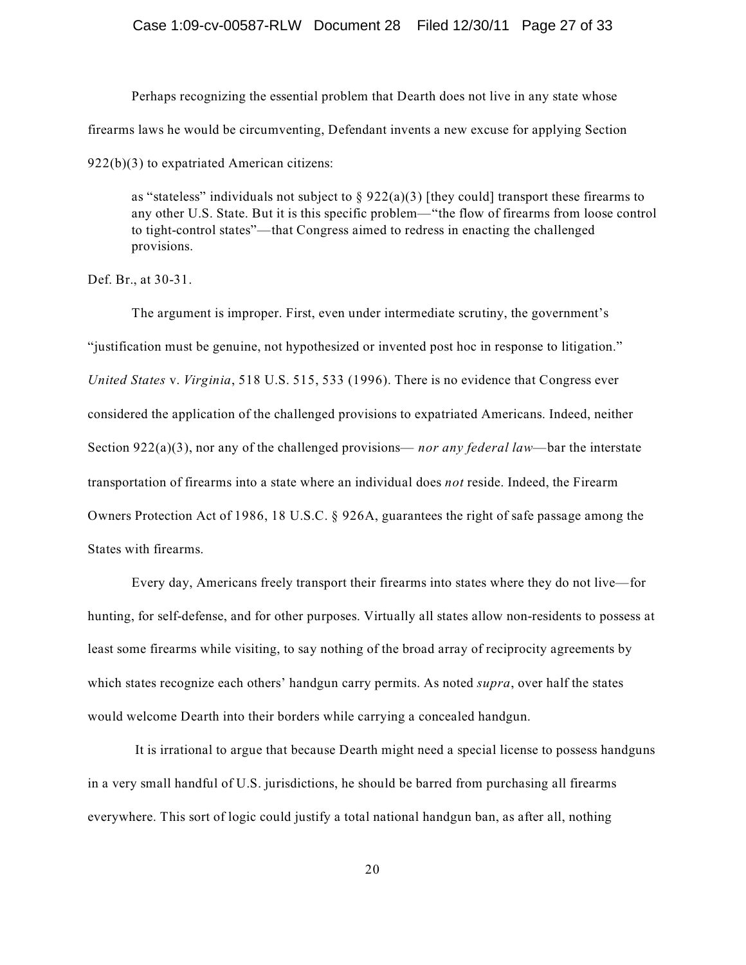#### Case 1:09-cv-00587-RLW Document 28 Filed 12/30/11 Page 27 of 33

Perhaps recognizing the essential problem that Dearth does not live in any state whose firearms laws he would be circumventing, Defendant invents a new excuse for applying Section 922(b)(3) to expatriated American citizens:

as "stateless" individuals not subject to  $\S 922(a)(3)$  [they could] transport these firearms to any other U.S. State. But it is this specific problem—"the flow of firearms from loose control to tight-control states"—that Congress aimed to redress in enacting the challenged provisions.

Def. Br., at 30-31.

The argument is improper. First, even under intermediate scrutiny, the government's "justification must be genuine, not hypothesized or invented post hoc in response to litigation." *United States* v. *Virginia*, 518 U.S. 515, 533 (1996). There is no evidence that Congress ever considered the application of the challenged provisions to expatriated Americans. Indeed, neither Section 922(a)(3), nor any of the challenged provisions— *nor any federal law*—bar the interstate transportation of firearms into a state where an individual does *not* reside. Indeed, the Firearm Owners Protection Act of 1986, 18 U.S.C. § 926A, guarantees the right of safe passage among the States with firearms.

Every day, Americans freely transport their firearms into states where they do not live—for hunting, for self-defense, and for other purposes. Virtually all states allow non-residents to possess at least some firearms while visiting, to say nothing of the broad array of reciprocity agreements by which states recognize each others' handgun carry permits. As noted *supra*, over half the states would welcome Dearth into their borders while carrying a concealed handgun.

It is irrational to argue that because Dearth might need a special license to possess handguns in a very small handful of U.S. jurisdictions, he should be barred from purchasing all firearms everywhere. This sort of logic could justify a total national handgun ban, as after all, nothing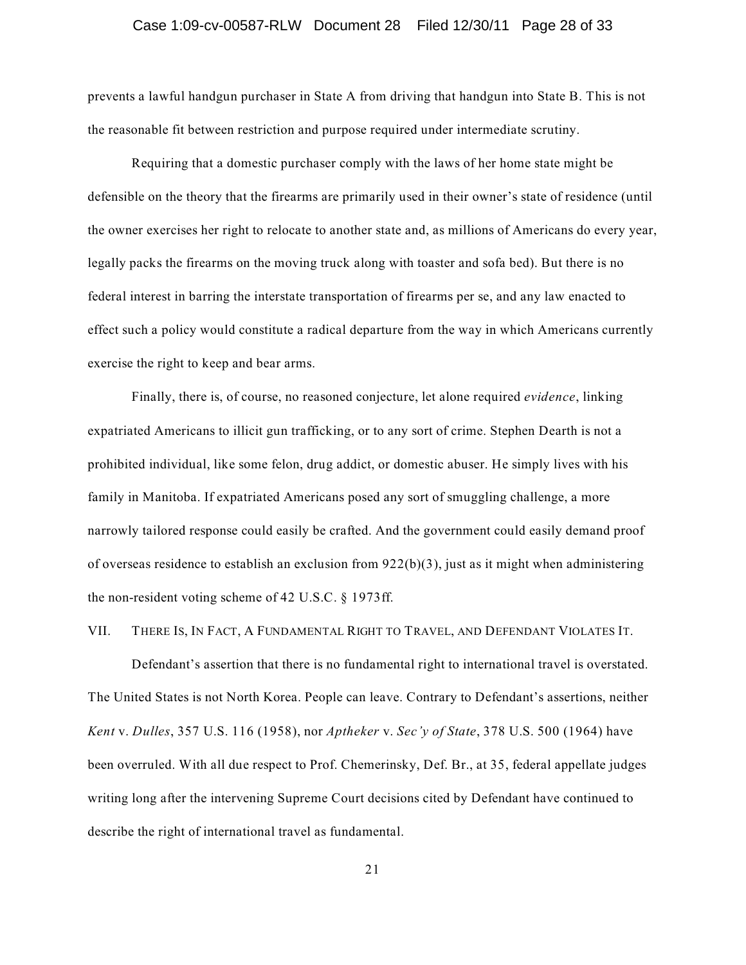#### Case 1:09-cv-00587-RLW Document 28 Filed 12/30/11 Page 28 of 33

prevents a lawful handgun purchaser in State A from driving that handgun into State B. This is not the reasonable fit between restriction and purpose required under intermediate scrutiny.

Requiring that a domestic purchaser comply with the laws of her home state might be defensible on the theory that the firearms are primarily used in their owner's state of residence (until the owner exercises her right to relocate to another state and, as millions of Americans do every year, legally packs the firearms on the moving truck along with toaster and sofa bed). But there is no federal interest in barring the interstate transportation of firearms per se, and any law enacted to effect such a policy would constitute a radical departure from the way in which Americans currently exercise the right to keep and bear arms.

Finally, there is, of course, no reasoned conjecture, let alone required *evidence*, linking expatriated Americans to illicit gun trafficking, or to any sort of crime. Stephen Dearth is not a prohibited individual, like some felon, drug addict, or domestic abuser. He simply lives with his family in Manitoba. If expatriated Americans posed any sort of smuggling challenge, a more narrowly tailored response could easily be crafted. And the government could easily demand proof of overseas residence to establish an exclusion from 922(b)(3), just as it might when administering the non-resident voting scheme of 42 U.S.C. § 1973ff.

#### VII. THERE IS, IN FACT, A FUNDAMENTAL RIGHT TO TRAVEL, AND DEFENDANT VIOLATES IT.

Defendant's assertion that there is no fundamental right to international travel is overstated. The United States is not North Korea. People can leave. Contrary to Defendant's assertions, neither *Kent* v. *Dulles*, 357 U.S. 116 (1958), nor *Aptheker* v. *Sec'y of State*, 378 U.S. 500 (1964) have been overruled. With all due respect to Prof. Chemerinsky, Def. Br., at 35, federal appellate judges writing long after the intervening Supreme Court decisions cited by Defendant have continued to describe the right of international travel as fundamental.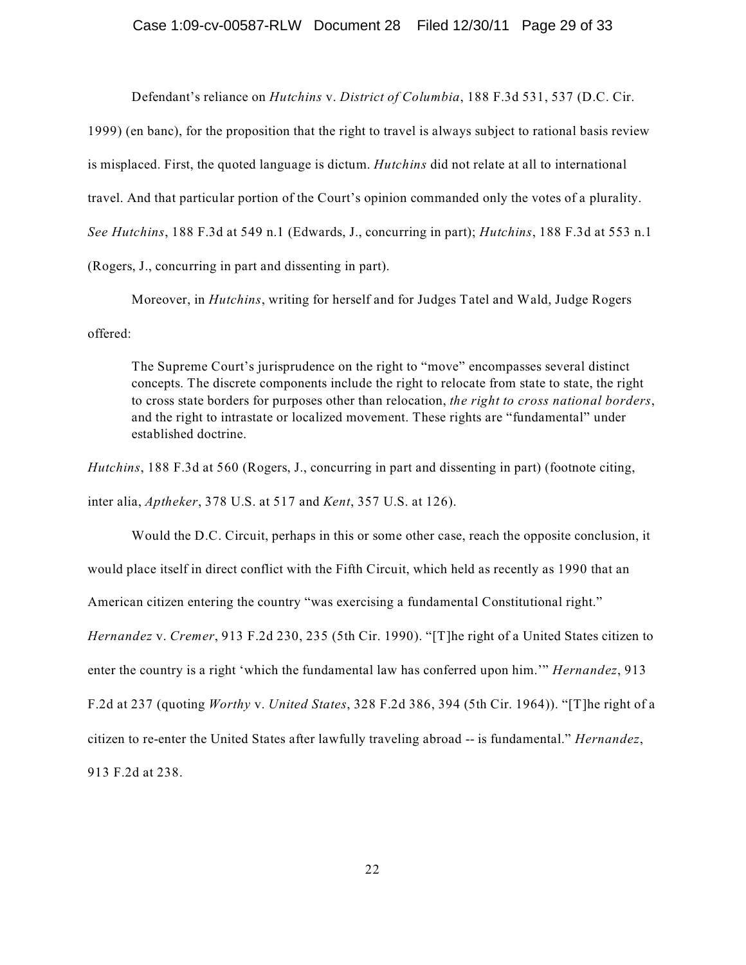Defendant's reliance on *Hutchins* v. *District of Columbia*, 188 F.3d 531, 537 (D.C. Cir.

1999) (en banc), for the proposition that the right to travel is always subject to rational basis review is misplaced. First, the quoted language is dictum. *Hutchins* did not relate at all to international travel. And that particular portion of the Court's opinion commanded only the votes of a plurality. *See Hutchins*, 188 F.3d at 549 n.1 (Edwards, J., concurring in part); *Hutchins*, 188 F.3d at 553 n.1 (Rogers, J., concurring in part and dissenting in part).

Moreover, in *Hutchins*, writing for herself and for Judges Tatel and Wald, Judge Rogers offered:

The Supreme Court's jurisprudence on the right to "move" encompasses several distinct concepts. The discrete components include the right to relocate from state to state, the right to cross state borders for purposes other than relocation, *the right to cross national borders*, and the right to intrastate or localized movement. These rights are "fundamental" under established doctrine.

*Hutchins*, 188 F.3d at 560 (Rogers, J., concurring in part and dissenting in part) (footnote citing, inter alia, *Aptheker*, 378 U.S. at 517 and *Kent*, 357 U.S. at 126).

Would the D.C. Circuit, perhaps in this or some other case, reach the opposite conclusion, it would place itself in direct conflict with the Fifth Circuit, which held as recently as 1990 that an American citizen entering the country "was exercising a fundamental Constitutional right." *Hernandez* v. *Cremer*, 913 F.2d 230, 235 (5th Cir. 1990). "[T]he right of a United States citizen to enter the country is a right 'which the fundamental law has conferred upon him.'" *Hernandez*, 913 F.2d at 237 (quoting *Worthy* v. *United States*, 328 F.2d 386, 394 (5th Cir. 1964)). "[T]he right of a citizen to re-enter the United States after lawfully traveling abroad -- is fundamental." *Hernandez*, 913 F.2d at 238.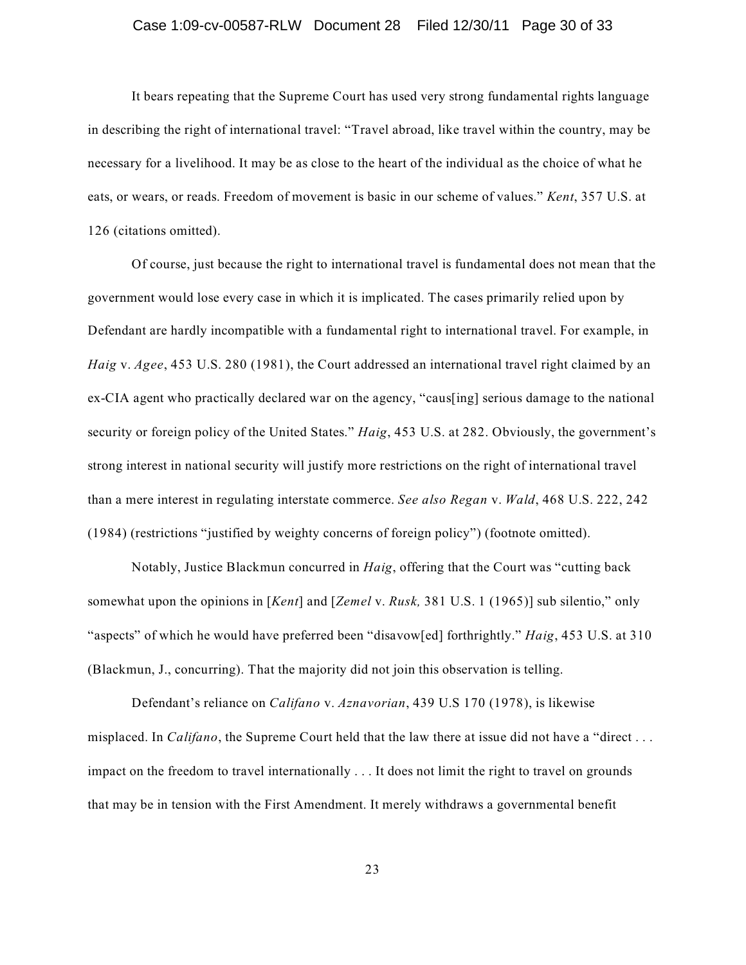#### Case 1:09-cv-00587-RLW Document 28 Filed 12/30/11 Page 30 of 33

It bears repeating that the Supreme Court has used very strong fundamental rights language in describing the right of international travel: "Travel abroad, like travel within the country, may be necessary for a livelihood. It may be as close to the heart of the individual as the choice of what he eats, or wears, or reads. Freedom of movement is basic in our scheme of values." *Kent*, 357 U.S. at 126 (citations omitted).

Of course, just because the right to international travel is fundamental does not mean that the government would lose every case in which it is implicated. The cases primarily relied upon by Defendant are hardly incompatible with a fundamental right to international travel. For example, in *Haig* v. *Agee*, 453 U.S. 280 (1981), the Court addressed an international travel right claimed by an ex-CIA agent who practically declared war on the agency, "caus[ing] serious damage to the national security or foreign policy of the United States." *Haig*, 453 U.S. at 282. Obviously, the government's strong interest in national security will justify more restrictions on the right of international travel than a mere interest in regulating interstate commerce. *See also Regan* v. *Wald*, 468 U.S. 222, 242 (1984) (restrictions "justified by weighty concerns of foreign policy") (footnote omitted).

Notably, Justice Blackmun concurred in *Haig*, offering that the Court was "cutting back somewhat upon the opinions in [*Kent*] and [*Zemel* v. *Rusk,* 381 U.S. 1 (1965)] sub silentio," only "aspects" of which he would have preferred been "disavow[ed] forthrightly." *Haig*, 453 U.S. at 310 (Blackmun, J., concurring). That the majority did not join this observation is telling.

Defendant's reliance on *Califano* v. *Aznavorian*, 439 U.S 170 (1978), is likewise misplaced. In *Califano*, the Supreme Court held that the law there at issue did not have a "direct . . . impact on the freedom to travel internationally . . . It does not limit the right to travel on grounds that may be in tension with the First Amendment. It merely withdraws a governmental benefit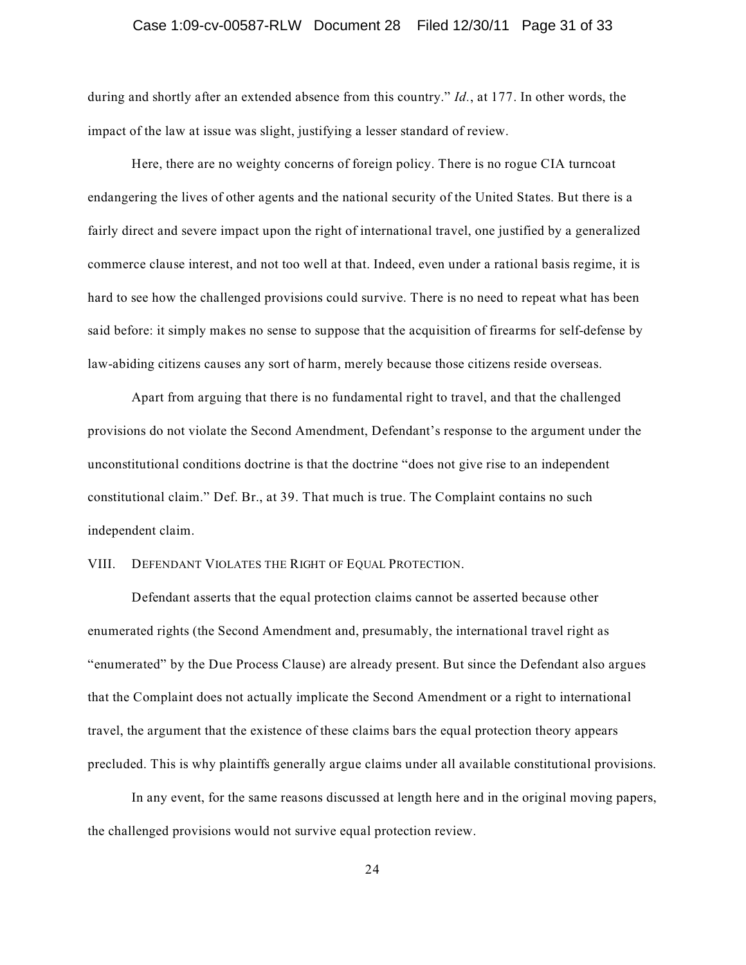#### Case 1:09-cv-00587-RLW Document 28 Filed 12/30/11 Page 31 of 33

during and shortly after an extended absence from this country." *Id.*, at 177. In other words, the impact of the law at issue was slight, justifying a lesser standard of review.

Here, there are no weighty concerns of foreign policy. There is no rogue CIA turncoat endangering the lives of other agents and the national security of the United States. But there is a fairly direct and severe impact upon the right of international travel, one justified by a generalized commerce clause interest, and not too well at that. Indeed, even under a rational basis regime, it is hard to see how the challenged provisions could survive. There is no need to repeat what has been said before: it simply makes no sense to suppose that the acquisition of firearms for self-defense by law-abiding citizens causes any sort of harm, merely because those citizens reside overseas.

Apart from arguing that there is no fundamental right to travel, and that the challenged provisions do not violate the Second Amendment, Defendant's response to the argument under the unconstitutional conditions doctrine is that the doctrine "does not give rise to an independent constitutional claim." Def. Br., at 39. That much is true. The Complaint contains no such independent claim.

#### VIII. DEFENDANT VIOLATES THE RIGHT OF EQUAL PROTECTION.

Defendant asserts that the equal protection claims cannot be asserted because other enumerated rights (the Second Amendment and, presumably, the international travel right as "enumerated" by the Due Process Clause) are already present. But since the Defendant also argues that the Complaint does not actually implicate the Second Amendment or a right to international travel, the argument that the existence of these claims bars the equal protection theory appears precluded. This is why plaintiffs generally argue claims under all available constitutional provisions.

In any event, for the same reasons discussed at length here and in the original moving papers, the challenged provisions would not survive equal protection review.